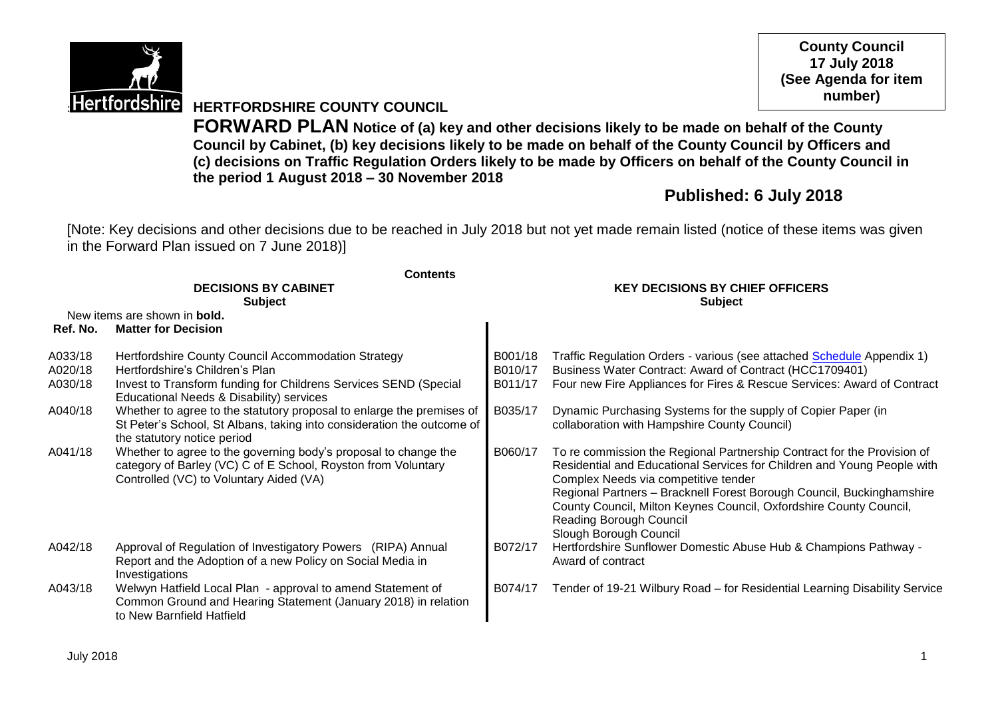

**County Council 17 July 2018 (See Agenda for item number)**

**Hertfordshire** HERTFORDSHIRE COUNTY COUNCIL

**FORWARD PLAN Notice of (a) key and other decisions likely to be made on behalf of the County Council by Cabinet, (b) key decisions likely to be made on behalf of the County Council by Officers and (c) decisions on Traffic Regulation Orders likely to be made by Officers on behalf of the County Council in the period 1 August 2018 – 30 November 2018**

# **Published: 6 July 2018**

[Note: Key decisions and other decisions due to be reached in July 2018 but not yet made remain listed (notice of these items was given in the Forward Plan issued on 7 June 2018)]

|                    | <b>Contents</b>                                                                                                                                                                |                                                          |                                                                                                                                                                                                                                                                                                                                                                                                |  |  |
|--------------------|--------------------------------------------------------------------------------------------------------------------------------------------------------------------------------|----------------------------------------------------------|------------------------------------------------------------------------------------------------------------------------------------------------------------------------------------------------------------------------------------------------------------------------------------------------------------------------------------------------------------------------------------------------|--|--|
|                    | <b>DECISIONS BY CABINET</b><br><b>Subject</b>                                                                                                                                  | <b>KEY DECISIONS BY CHIEF OFFICERS</b><br><b>Subject</b> |                                                                                                                                                                                                                                                                                                                                                                                                |  |  |
|                    | New items are shown in <b>bold.</b>                                                                                                                                            |                                                          |                                                                                                                                                                                                                                                                                                                                                                                                |  |  |
| Ref. No.           | <b>Matter for Decision</b>                                                                                                                                                     |                                                          |                                                                                                                                                                                                                                                                                                                                                                                                |  |  |
| A033/18<br>A020/18 | Hertfordshire County Council Accommodation Strategy<br>Hertfordshire's Children's Plan                                                                                         | B001/18<br>B010/17                                       | Traffic Regulation Orders - various (see attached Schedule Appendix 1)<br>Business Water Contract: Award of Contract (HCC1709401)                                                                                                                                                                                                                                                              |  |  |
| A030/18            | Invest to Transform funding for Childrens Services SEND (Special<br>Educational Needs & Disability) services                                                                   | B011/17                                                  | Four new Fire Appliances for Fires & Rescue Services: Award of Contract                                                                                                                                                                                                                                                                                                                        |  |  |
| A040/18            | Whether to agree to the statutory proposal to enlarge the premises of<br>St Peter's School, St Albans, taking into consideration the outcome of<br>the statutory notice period | B035/17                                                  | Dynamic Purchasing Systems for the supply of Copier Paper (in<br>collaboration with Hampshire County Council)                                                                                                                                                                                                                                                                                  |  |  |
| A041/18            | Whether to agree to the governing body's proposal to change the<br>category of Barley (VC) C of E School, Royston from Voluntary<br>Controlled (VC) to Voluntary Aided (VA)    | B060/17                                                  | To re commission the Regional Partnership Contract for the Provision of<br>Residential and Educational Services for Children and Young People with<br>Complex Needs via competitive tender<br>Regional Partners - Bracknell Forest Borough Council, Buckinghamshire<br>County Council, Milton Keynes Council, Oxfordshire County Council,<br>Reading Borough Council<br>Slough Borough Council |  |  |
| A042/18            | Approval of Regulation of Investigatory Powers (RIPA) Annual<br>Report and the Adoption of a new Policy on Social Media in<br>Investigations                                   | B072/17                                                  | Hertfordshire Sunflower Domestic Abuse Hub & Champions Pathway -<br>Award of contract                                                                                                                                                                                                                                                                                                          |  |  |
| A043/18            | Welwyn Hatfield Local Plan - approval to amend Statement of<br>Common Ground and Hearing Statement (January 2018) in relation<br>to New Barnfield Hatfield                     | B074/17                                                  | Tender of 19-21 Wilbury Road - for Residential Learning Disability Service                                                                                                                                                                                                                                                                                                                     |  |  |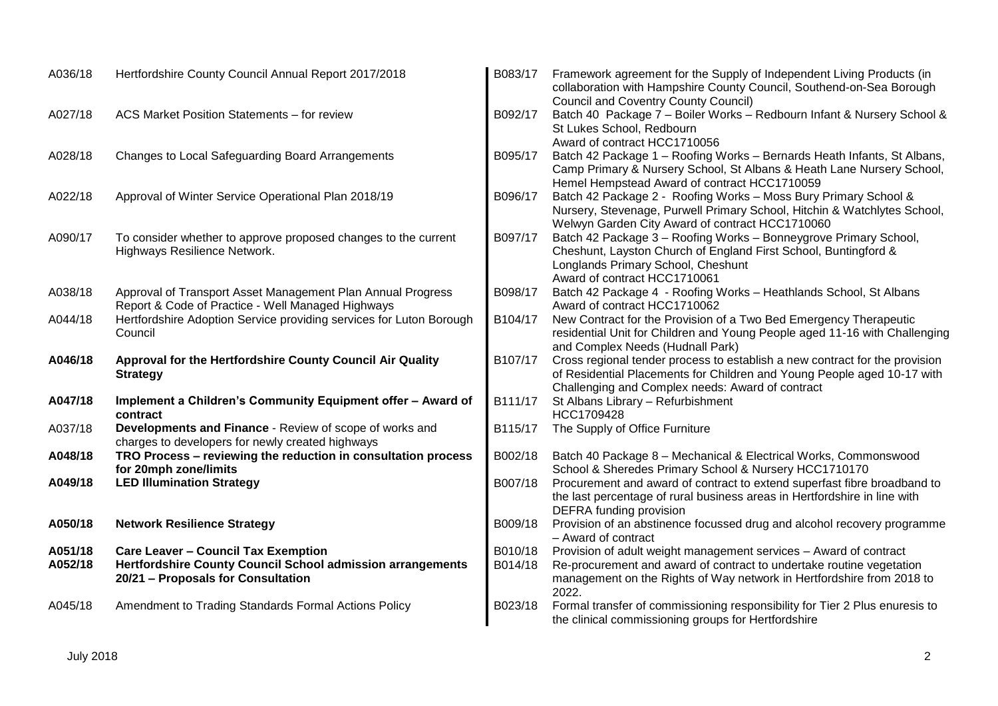| A036/18 | Hertfordshire County Council Annual Report 2017/2018                                                             | B083/17 | Framework agreement for the Supply of Independent Living Products (in<br>collaboration with Hampshire County Council, Southend-on-Sea Borough                                                              |
|---------|------------------------------------------------------------------------------------------------------------------|---------|------------------------------------------------------------------------------------------------------------------------------------------------------------------------------------------------------------|
| A027/18 | ACS Market Position Statements - for review                                                                      | B092/17 | <b>Council and Coventry County Council)</b><br>Batch 40 Package 7 - Boiler Works - Redbourn Infant & Nursery School &<br>St Lukes School, Redbourn<br>Award of contract HCC1710056                         |
| A028/18 | Changes to Local Safeguarding Board Arrangements                                                                 | B095/17 | Batch 42 Package 1 - Roofing Works - Bernards Heath Infants, St Albans,<br>Camp Primary & Nursery School, St Albans & Heath Lane Nursery School,<br>Hemel Hempstead Award of contract HCC1710059           |
| A022/18 | Approval of Winter Service Operational Plan 2018/19                                                              | B096/17 | Batch 42 Package 2 - Roofing Works - Moss Bury Primary School &<br>Nursery, Stevenage, Purwell Primary School, Hitchin & Watchlytes School,<br>Welwyn Garden City Award of contract HCC1710060             |
| A090/17 | To consider whether to approve proposed changes to the current<br>Highways Resilience Network.                   | B097/17 | Batch 42 Package 3 - Roofing Works - Bonneygrove Primary School,<br>Cheshunt, Layston Church of England First School, Buntingford &<br>Longlands Primary School, Cheshunt<br>Award of contract HCC1710061  |
| A038/18 | Approval of Transport Asset Management Plan Annual Progress<br>Report & Code of Practice - Well Managed Highways | B098/17 | Batch 42 Package 4 - Roofing Works - Heathlands School, St Albans<br>Award of contract HCC1710062                                                                                                          |
| A044/18 | Hertfordshire Adoption Service providing services for Luton Borough<br>Council                                   | B104/17 | New Contract for the Provision of a Two Bed Emergency Therapeutic<br>residential Unit for Children and Young People aged 11-16 with Challenging<br>and Complex Needs (Hudnall Park)                        |
| A046/18 | Approval for the Hertfordshire County Council Air Quality<br><b>Strategy</b>                                     | B107/17 | Cross regional tender process to establish a new contract for the provision<br>of Residential Placements for Children and Young People aged 10-17 with<br>Challenging and Complex needs: Award of contract |
| A047/18 | Implement a Children's Community Equipment offer - Award of<br>contract                                          | B111/17 | St Albans Library - Refurbishment<br>HCC1709428                                                                                                                                                            |
| A037/18 | Developments and Finance - Review of scope of works and<br>charges to developers for newly created highways      | B115/17 | The Supply of Office Furniture                                                                                                                                                                             |
| A048/18 | TRO Process - reviewing the reduction in consultation process<br>for 20mph zone/limits                           | B002/18 | Batch 40 Package 8 - Mechanical & Electrical Works, Commonswood<br>School & Sheredes Primary School & Nursery HCC1710170                                                                                   |
| A049/18 | <b>LED Illumination Strategy</b>                                                                                 | B007/18 | Procurement and award of contract to extend superfast fibre broadband to<br>the last percentage of rural business areas in Hertfordshire in line with<br>DEFRA funding provision                           |
| A050/18 | <b>Network Resilience Strategy</b>                                                                               | B009/18 | Provision of an abstinence focussed drug and alcohol recovery programme<br>- Award of contract                                                                                                             |
| A051/18 | <b>Care Leaver - Council Tax Exemption</b>                                                                       | B010/18 | Provision of adult weight management services - Award of contract                                                                                                                                          |
| A052/18 | Hertfordshire County Council School admission arrangements<br>20/21 - Proposals for Consultation                 | B014/18 | Re-procurement and award of contract to undertake routine vegetation<br>management on the Rights of Way network in Hertfordshire from 2018 to<br>2022.                                                     |
| A045/18 | Amendment to Trading Standards Formal Actions Policy                                                             | B023/18 | Formal transfer of commissioning responsibility for Tier 2 Plus enuresis to<br>the clinical commissioning groups for Hertfordshire                                                                         |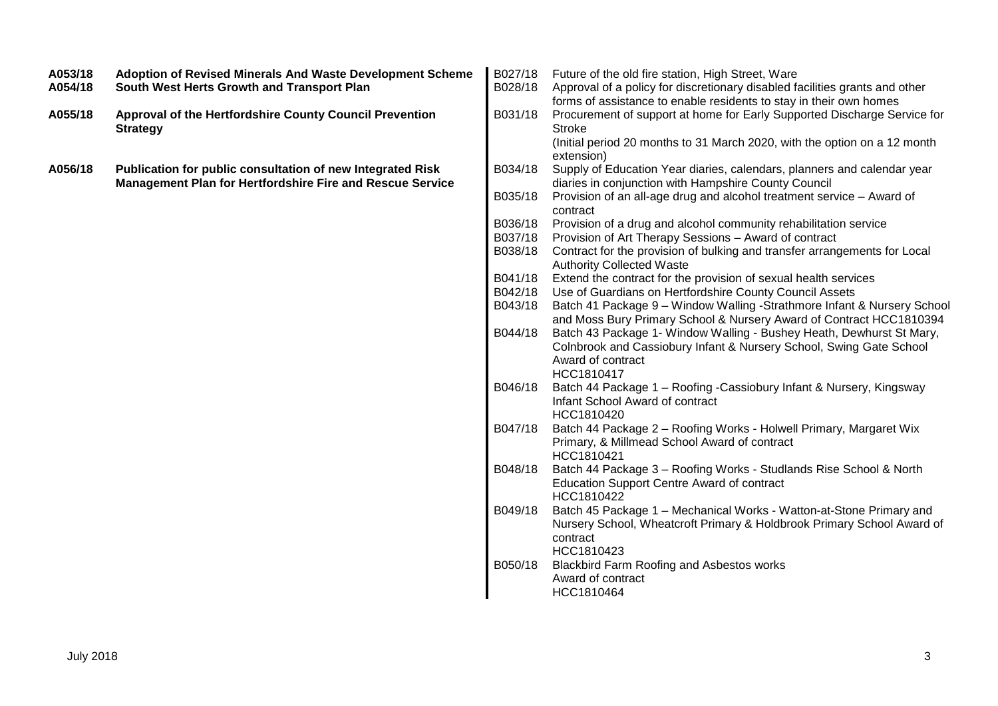| A053/18<br>A054/18 | Adoption of Revised Minerals And Waste Development Scheme<br>South West Herts Growth and Transport Plan                        | B027/18<br>B028/18 | Future of the old fire station, High Street, Ware<br>Approval of a policy for discretionary disabled facilities grants and other<br>forms of assistance to enable residents to stay in their own homes |
|--------------------|--------------------------------------------------------------------------------------------------------------------------------|--------------------|--------------------------------------------------------------------------------------------------------------------------------------------------------------------------------------------------------|
| A055/18            | Approval of the Hertfordshire County Council Prevention<br><b>Strategy</b>                                                     | B031/18            | Procurement of support at home for Early Supported Discharge Service for<br><b>Stroke</b><br>(Initial period 20 months to 31 March 2020, with the option on a 12 month                                 |
| A056/18            | Publication for public consultation of new Integrated Risk<br><b>Management Plan for Hertfordshire Fire and Rescue Service</b> | B034/18            | extension)<br>Supply of Education Year diaries, calendars, planners and calendar year<br>diaries in conjunction with Hampshire County Council                                                          |
|                    |                                                                                                                                | B035/18            | Provision of an all-age drug and alcohol treatment service - Award of<br>contract                                                                                                                      |
|                    |                                                                                                                                | B036/18            | Provision of a drug and alcohol community rehabilitation service                                                                                                                                       |
|                    |                                                                                                                                | B037/18            | Provision of Art Therapy Sessions - Award of contract                                                                                                                                                  |
|                    |                                                                                                                                | B038/18            | Contract for the provision of bulking and transfer arrangements for Local<br><b>Authority Collected Waste</b>                                                                                          |
|                    |                                                                                                                                | B041/18            | Extend the contract for the provision of sexual health services                                                                                                                                        |
|                    |                                                                                                                                | B042/18            | Use of Guardians on Hertfordshire County Council Assets                                                                                                                                                |
|                    |                                                                                                                                | B043/18            | Batch 41 Package 9 - Window Walling -Strathmore Infant & Nursery School                                                                                                                                |
|                    |                                                                                                                                | B044/18            | and Moss Bury Primary School & Nursery Award of Contract HCC1810394<br>Batch 43 Package 1- Window Walling - Bushey Heath, Dewhurst St Mary,                                                            |
|                    |                                                                                                                                |                    | Colnbrook and Cassiobury Infant & Nursery School, Swing Gate School                                                                                                                                    |
|                    |                                                                                                                                |                    | Award of contract                                                                                                                                                                                      |
|                    |                                                                                                                                |                    | HCC1810417                                                                                                                                                                                             |
|                    |                                                                                                                                | B046/18            | Batch 44 Package 1 - Roofing - Cassiobury Infant & Nursery, Kingsway                                                                                                                                   |
|                    |                                                                                                                                |                    | Infant School Award of contract                                                                                                                                                                        |
|                    |                                                                                                                                | B047/18            | HCC1810420<br>Batch 44 Package 2 - Roofing Works - Holwell Primary, Margaret Wix                                                                                                                       |
|                    |                                                                                                                                |                    | Primary, & Millmead School Award of contract<br>HCC1810421                                                                                                                                             |
|                    |                                                                                                                                | B048/18            | Batch 44 Package 3 - Roofing Works - Studlands Rise School & North                                                                                                                                     |
|                    |                                                                                                                                |                    | <b>Education Support Centre Award of contract</b>                                                                                                                                                      |
|                    |                                                                                                                                |                    | HCC1810422                                                                                                                                                                                             |
|                    |                                                                                                                                | B049/18            | Batch 45 Package 1 - Mechanical Works - Watton-at-Stone Primary and<br>Nursery School, Wheatcroft Primary & Holdbrook Primary School Award of<br>contract                                              |
|                    |                                                                                                                                |                    | HCC1810423                                                                                                                                                                                             |
|                    |                                                                                                                                | B050/18            | Blackbird Farm Roofing and Asbestos works                                                                                                                                                              |
|                    |                                                                                                                                |                    | Award of contract                                                                                                                                                                                      |
|                    |                                                                                                                                |                    | HCC1810464                                                                                                                                                                                             |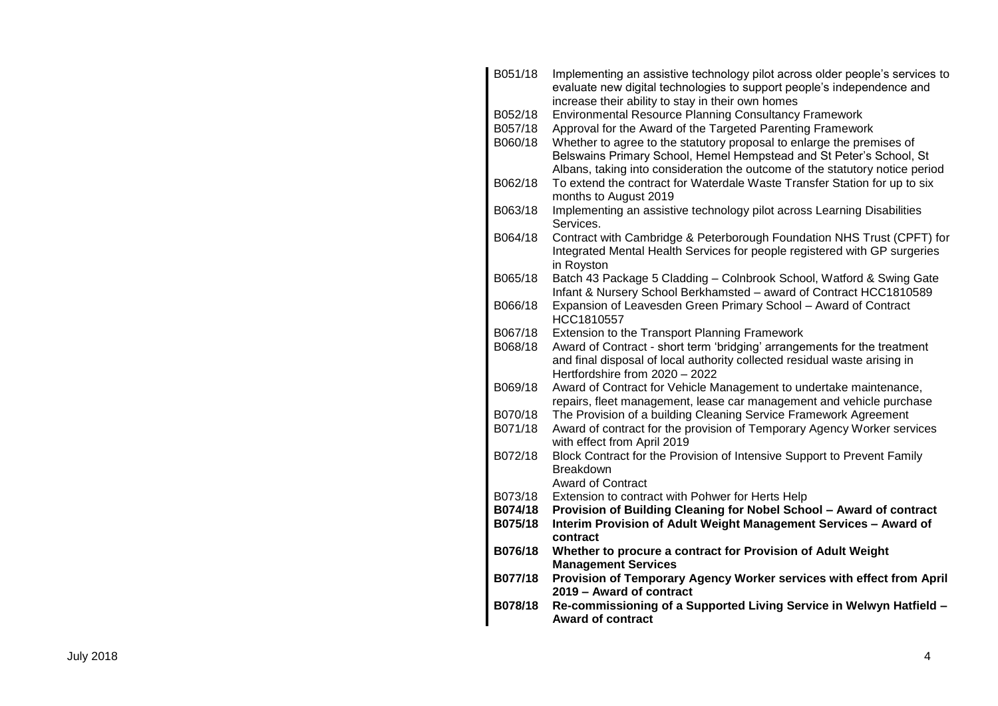| B051/18 | Implementing an assistive technology pilot across older people's services to<br>evaluate new digital technologies to support people's independence and |
|---------|--------------------------------------------------------------------------------------------------------------------------------------------------------|
|         | increase their ability to stay in their own homes                                                                                                      |
| B052/18 | <b>Environmental Resource Planning Consultancy Framework</b>                                                                                           |
| B057/18 | Approval for the Award of the Targeted Parenting Framework                                                                                             |
| B060/18 | Whether to agree to the statutory proposal to enlarge the premises of                                                                                  |
|         | Belswains Primary School, Hemel Hempstead and St Peter's School, St                                                                                    |
|         | Albans, taking into consideration the outcome of the statutory notice period                                                                           |
| B062/18 | To extend the contract for Waterdale Waste Transfer Station for up to six                                                                              |
|         | months to August 2019                                                                                                                                  |
| B063/18 | Implementing an assistive technology pilot across Learning Disabilities<br>Services.                                                                   |
| B064/18 | Contract with Cambridge & Peterborough Foundation NHS Trust (CPFT) for                                                                                 |
|         | Integrated Mental Health Services for people registered with GP surgeries<br>in Royston                                                                |
| B065/18 | Batch 43 Package 5 Cladding - Colnbrook School, Watford & Swing Gate                                                                                   |
|         | Infant & Nursery School Berkhamsted - award of Contract HCC1810589                                                                                     |
| B066/18 | Expansion of Leavesden Green Primary School - Award of Contract                                                                                        |
|         | HCC1810557                                                                                                                                             |
| B067/18 | Extension to the Transport Planning Framework                                                                                                          |
| B068/18 | Award of Contract - short term 'bridging' arrangements for the treatment                                                                               |
|         | and final disposal of local authority collected residual waste arising in<br>Hertfordshire from 2020 - 2022                                            |
| B069/18 | Award of Contract for Vehicle Management to undertake maintenance,                                                                                     |
|         | repairs, fleet management, lease car management and vehicle purchase                                                                                   |
| B070/18 | The Provision of a building Cleaning Service Framework Agreement                                                                                       |
| B071/18 | Award of contract for the provision of Temporary Agency Worker services                                                                                |
|         | with effect from April 2019                                                                                                                            |
| B072/18 | Block Contract for the Provision of Intensive Support to Prevent Family                                                                                |
|         | <b>Breakdown</b>                                                                                                                                       |
|         | <b>Award of Contract</b>                                                                                                                               |
| B073/18 | Extension to contract with Pohwer for Herts Help                                                                                                       |
| B074/18 | Provision of Building Cleaning for Nobel School - Award of contract                                                                                    |
| B075/18 | Interim Provision of Adult Weight Management Services - Award of                                                                                       |
|         | contract                                                                                                                                               |
| B076/18 | Whether to procure a contract for Provision of Adult Weight                                                                                            |
|         | <b>Management Services</b>                                                                                                                             |
| B077/18 | Provision of Temporary Agency Worker services with effect from April                                                                                   |
|         | 2019 - Award of contract                                                                                                                               |
| B078/18 | Re-commissioning of a Supported Living Service in Welwyn Hatfield -                                                                                    |
|         | <b>Award of contract</b>                                                                                                                               |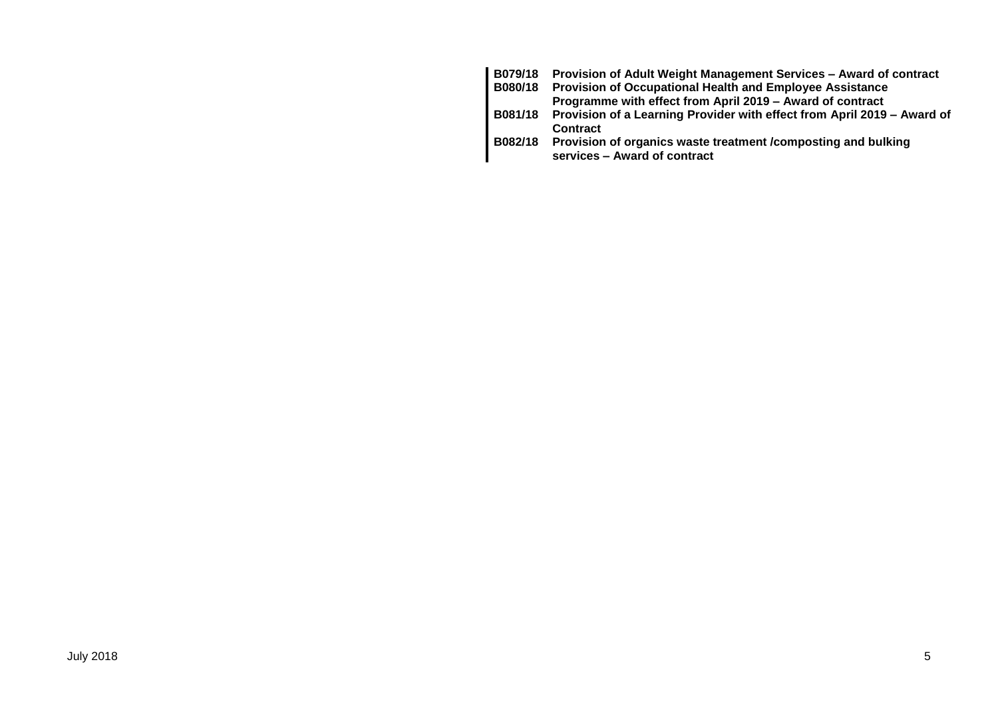| B079/18 | Provision of Adult Weight Management Services - Award of contract               |
|---------|---------------------------------------------------------------------------------|
| B080/18 | <b>Provision of Occupational Health and Employee Assistance</b>                 |
|         | Programme with effect from April 2019 – Award of contract                       |
|         | B081/18 Provision of a Learning Provider with effect from April 2019 - Award of |
|         | <b>Contract</b>                                                                 |
| B082/18 | Provision of organics waste treatment /composting and bulking                   |
|         | services - Award of contract                                                    |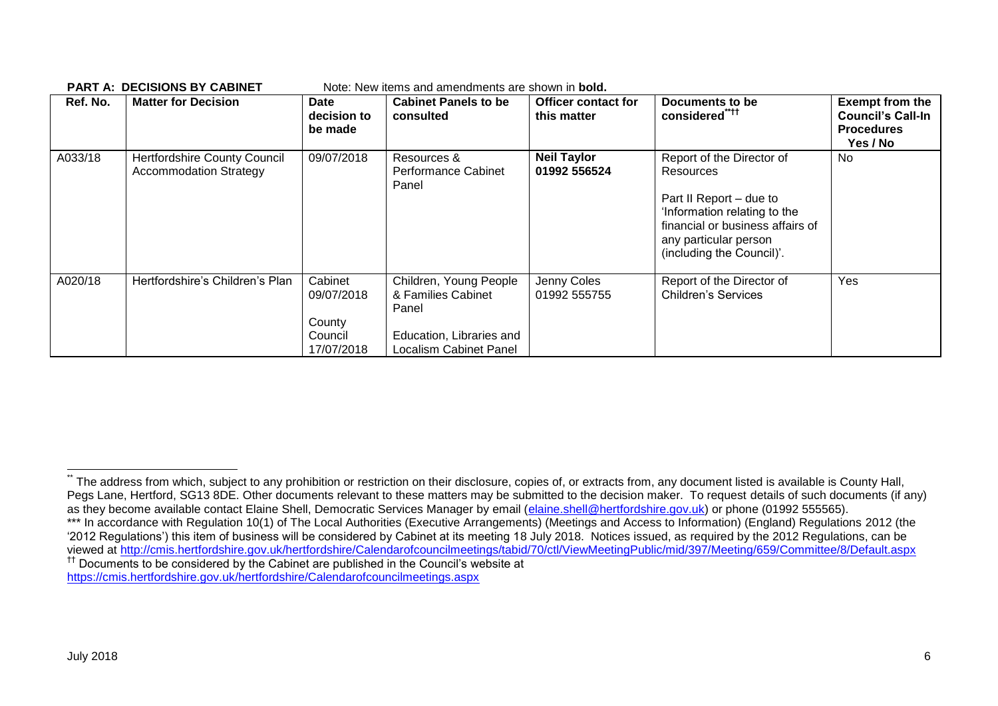| Ref. No. | <b>Matter for Decision</b>                                           | Date<br>decision to<br>be made                           | <b>Cabinet Panels to be</b><br>consulted                                                                           | <b>Officer contact for</b><br>this matter | Documents to be<br>considered" <sup>++</sup>                                                                                                                                                | <b>Exempt from the</b><br><b>Council's Call-In</b><br><b>Procedures</b><br>Yes / No |
|----------|----------------------------------------------------------------------|----------------------------------------------------------|--------------------------------------------------------------------------------------------------------------------|-------------------------------------------|---------------------------------------------------------------------------------------------------------------------------------------------------------------------------------------------|-------------------------------------------------------------------------------------|
| A033/18  | <b>Hertfordshire County Council</b><br><b>Accommodation Strategy</b> | 09/07/2018                                               | Resources &<br>Performance Cabinet<br>Panel                                                                        | <b>Neil Taylor</b><br>01992 556524        | Report of the Director of<br>Resources<br>Part II Report - due to<br>'Information relating to the<br>financial or business affairs of<br>any particular person<br>(including the Council)'. | No                                                                                  |
| A020/18  | Hertfordshire's Children's Plan                                      | Cabinet<br>09/07/2018<br>County<br>Council<br>17/07/2018 | Children, Young People<br>& Families Cabinet<br>Panel<br>Education, Libraries and<br><b>Localism Cabinet Panel</b> | Jenny Coles<br>01992 555755               | Report of the Director of<br><b>Children's Services</b>                                                                                                                                     | Yes                                                                                 |

**PART A: DECISIONS BY CARINET** Note: New items and amendments are shown in **bold** 

<https://cmis.hertfordshire.gov.uk/hertfordshire/Calendarofcouncilmeetings.aspx>

 $\overline{a}$ 

The address from which, subject to any prohibition or restriction on their disclosure, copies of, or extracts from, any document listed is available is County Hall, Pegs Lane, Hertford, SG13 8DE. Other documents relevant to these matters may be submitted to the decision maker. To request details of such documents (if any) as they become available contact Elaine Shell, Democratic Services Manager by email [\(elaine.shell@hertfordshire.gov.uk\)](mailto:elaine.shell@hertfordshire.gov.uk) or phone (01992 555565).

<sup>\*\*\*</sup> In accordance with Regulation 10(1) of The Local Authorities (Executive Arrangements) (Meetings and Access to Information) (England) Regulations 2012 (the '2012 Regulations') this item of business will be considered by Cabinet at its meeting 18 July 2018. Notices issued, as required by the 2012 Regulations, can be viewed at<http://cmis.hertfordshire.gov.uk/hertfordshire/Calendarofcouncilmeetings/tabid/70/ctl/ViewMeetingPublic/mid/397/Meeting/659/Committee/8/Default.aspx> †† Documents to be considered by the Cabinet are published in the Council's website at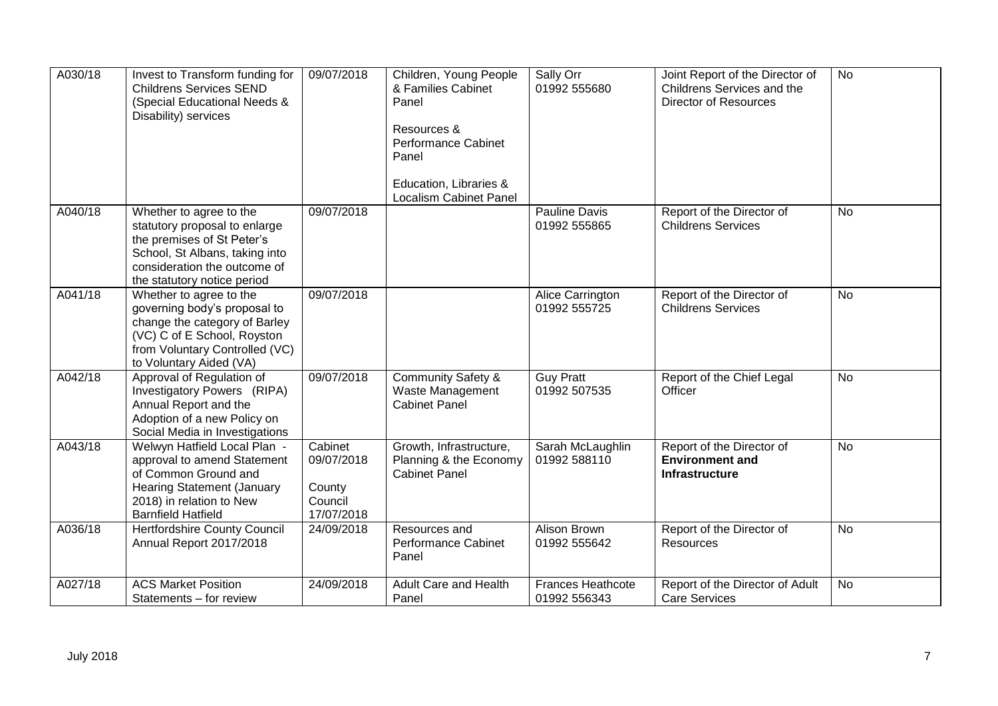| A030/18 | Invest to Transform funding for<br><b>Childrens Services SEND</b><br>(Special Educational Needs &<br>Disability) services                                                               | 09/07/2018                                               | Children, Young People<br>& Families Cabinet<br>Panel<br>Resources &<br>Performance Cabinet<br>Panel<br>Education, Libraries &<br><b>Localism Cabinet Panel</b> | Sally Orr<br>01992 555680                | Joint Report of the Director of<br>Childrens Services and the<br><b>Director of Resources</b> | <b>No</b> |
|---------|-----------------------------------------------------------------------------------------------------------------------------------------------------------------------------------------|----------------------------------------------------------|-----------------------------------------------------------------------------------------------------------------------------------------------------------------|------------------------------------------|-----------------------------------------------------------------------------------------------|-----------|
| A040/18 | Whether to agree to the<br>statutory proposal to enlarge<br>the premises of St Peter's<br>School, St Albans, taking into<br>consideration the outcome of<br>the statutory notice period | 09/07/2018                                               |                                                                                                                                                                 | Pauline Davis<br>01992 555865            | Report of the Director of<br><b>Childrens Services</b>                                        | No        |
| A041/18 | Whether to agree to the<br>governing body's proposal to<br>change the category of Barley<br>(VC) C of E School, Royston<br>from Voluntary Controlled (VC)<br>to Voluntary Aided (VA)    | 09/07/2018                                               |                                                                                                                                                                 | Alice Carrington<br>01992 555725         | Report of the Director of<br><b>Childrens Services</b>                                        | <b>No</b> |
| A042/18 | Approval of Regulation of<br>Investigatory Powers (RIPA)<br>Annual Report and the<br>Adoption of a new Policy on<br>Social Media in Investigations                                      | 09/07/2018                                               | <b>Community Safety &amp;</b><br>Waste Management<br><b>Cabinet Panel</b>                                                                                       | <b>Guy Pratt</b><br>01992 507535         | Report of the Chief Legal<br>Officer                                                          | No        |
| A043/18 | Welwyn Hatfield Local Plan -<br>approval to amend Statement<br>of Common Ground and<br><b>Hearing Statement (January</b><br>2018) in relation to New<br><b>Barnfield Hatfield</b>       | Cabinet<br>09/07/2018<br>County<br>Council<br>17/07/2018 | Growth, Infrastructure,<br>Planning & the Economy<br><b>Cabinet Panel</b>                                                                                       | Sarah McLaughlin<br>01992 588110         | Report of the Director of<br><b>Environment and</b><br><b>Infrastructure</b>                  | <b>No</b> |
| A036/18 | Hertfordshire County Council<br>Annual Report 2017/2018                                                                                                                                 | 24/09/2018                                               | Resources and<br>Performance Cabinet<br>Panel                                                                                                                   | Alison Brown<br>01992 555642             | Report of the Director of<br>Resources                                                        | No        |
| A027/18 | <b>ACS Market Position</b><br>Statements - for review                                                                                                                                   | 24/09/2018                                               | Adult Care and Health<br>Panel                                                                                                                                  | <b>Frances Heathcote</b><br>01992 556343 | Report of the Director of Adult<br><b>Care Services</b>                                       | No        |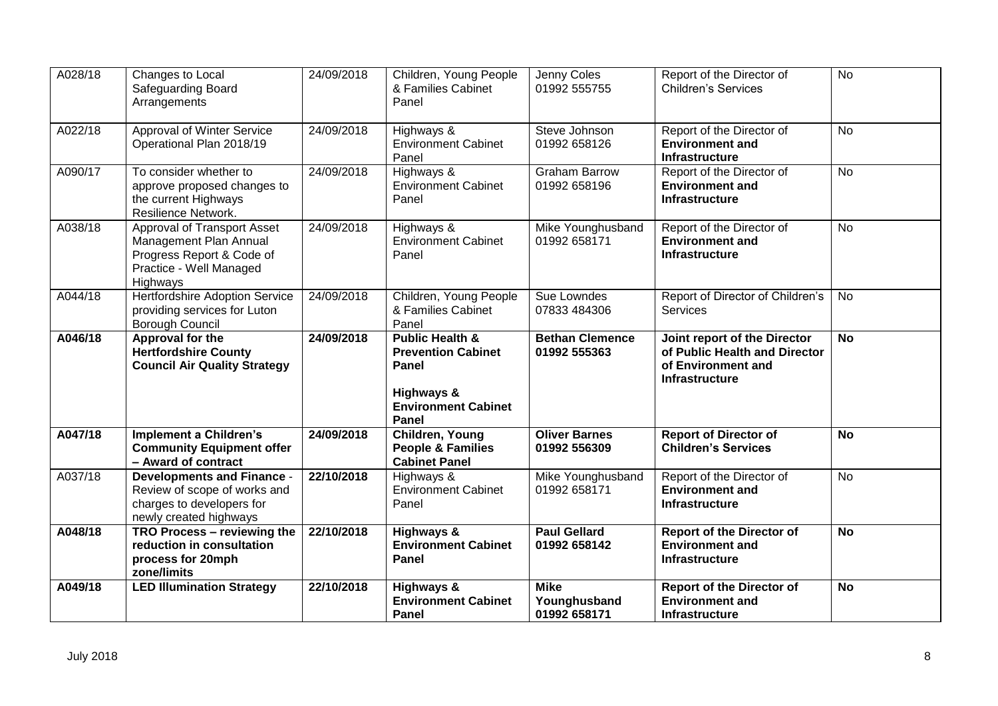| A028/18 | Changes to Local<br>Safeguarding Board<br>Arrangements                                                                           | 24/09/2018 | Children, Young People<br>& Families Cabinet<br>Panel                                                                 | Jenny Coles<br>01992 555755                 | Report of the Director of<br><b>Children's Services</b>                                                      | <b>No</b> |
|---------|----------------------------------------------------------------------------------------------------------------------------------|------------|-----------------------------------------------------------------------------------------------------------------------|---------------------------------------------|--------------------------------------------------------------------------------------------------------------|-----------|
| A022/18 | Approval of Winter Service<br>Operational Plan 2018/19                                                                           | 24/09/2018 | Highways &<br><b>Environment Cabinet</b><br>Panel                                                                     | Steve Johnson<br>01992 658126               | Report of the Director of<br><b>Environment and</b><br>Infrastructure                                        | <b>No</b> |
| A090/17 | To consider whether to<br>approve proposed changes to<br>the current Highways<br>Resilience Network.                             | 24/09/2018 | Highways &<br><b>Environment Cabinet</b><br>Panel                                                                     | <b>Graham Barrow</b><br>01992 658196        | Report of the Director of<br><b>Environment and</b><br>Infrastructure                                        | <b>No</b> |
| A038/18 | <b>Approval of Transport Asset</b><br>Management Plan Annual<br>Progress Report & Code of<br>Practice - Well Managed<br>Highways | 24/09/2018 | Highways &<br><b>Environment Cabinet</b><br>Panel                                                                     | Mike Younghusband<br>01992 658171           | Report of the Director of<br><b>Environment and</b><br>Infrastructure                                        | <b>No</b> |
| A044/18 | <b>Hertfordshire Adoption Service</b><br>providing services for Luton<br><b>Borough Council</b>                                  | 24/09/2018 | Children, Young People<br>& Families Cabinet<br>Panel                                                                 | Sue Lowndes<br>07833 484306                 | Report of Director of Children's<br>Services                                                                 | <b>No</b> |
| A046/18 | Approval for the<br><b>Hertfordshire County</b><br><b>Council Air Quality Strategy</b>                                           | 24/09/2018 | <b>Public Health &amp;</b><br><b>Prevention Cabinet</b><br>Panel<br>Highways &<br><b>Environment Cabinet</b><br>Panel | <b>Bethan Clemence</b><br>01992 555363      | Joint report of the Director<br>of Public Health and Director<br>of Environment and<br><b>Infrastructure</b> | <b>No</b> |
| A047/18 | <b>Implement a Children's</b><br><b>Community Equipment offer</b><br>- Award of contract                                         | 24/09/2018 | Children, Young<br><b>People &amp; Families</b><br><b>Cabinet Panel</b>                                               | <b>Oliver Barnes</b><br>01992 556309        | <b>Report of Director of</b><br><b>Children's Services</b>                                                   | <b>No</b> |
| A037/18 | <b>Developments and Finance -</b><br>Review of scope of works and<br>charges to developers for<br>newly created highways         | 22/10/2018 | Highways &<br><b>Environment Cabinet</b><br>Panel                                                                     | Mike Younghusband<br>01992 658171           | Report of the Director of<br><b>Environment and</b><br><b>Infrastructure</b>                                 | No        |
| A048/18 | TRO Process - reviewing the<br>reduction in consultation<br>process for 20mph<br>zone/limits                                     | 22/10/2018 | Highways &<br><b>Environment Cabinet</b><br><b>Panel</b>                                                              | <b>Paul Gellard</b><br>01992 658142         | <b>Report of the Director of</b><br><b>Environment and</b><br><b>Infrastructure</b>                          | <b>No</b> |
| A049/18 | <b>LED Illumination Strategy</b>                                                                                                 | 22/10/2018 | Highways &<br><b>Environment Cabinet</b><br>Panel                                                                     | <b>Mike</b><br>Younghusband<br>01992 658171 | <b>Report of the Director of</b><br><b>Environment and</b><br>Infrastructure                                 | <b>No</b> |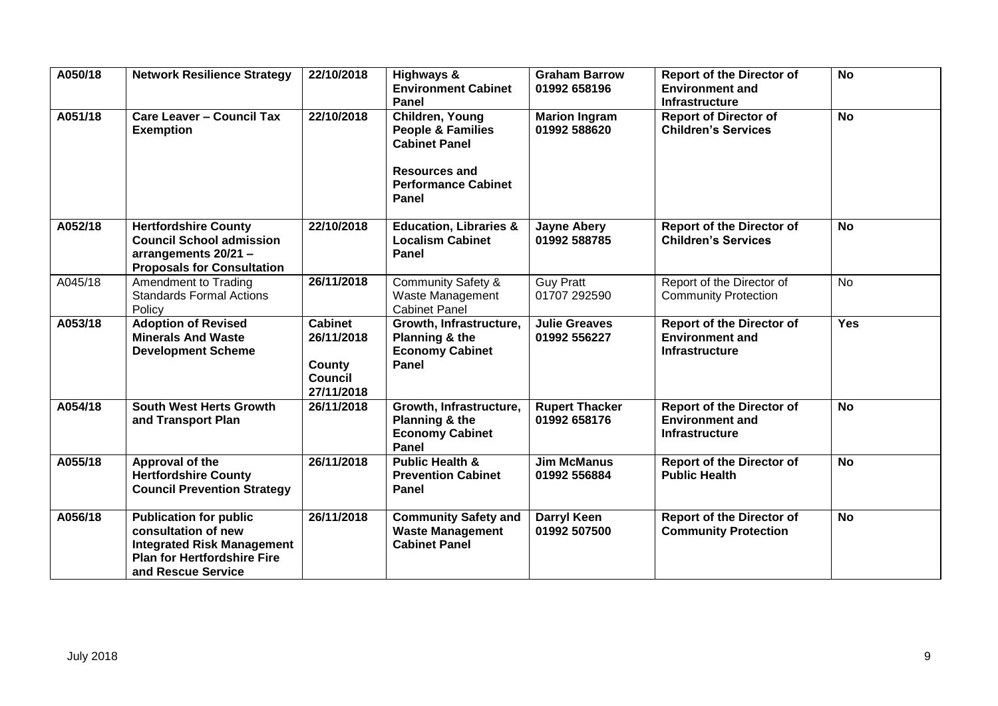| A050/18 | <b>Network Resilience Strategy</b>                                                                                                                    | 22/10/2018                                                             | Highways &<br><b>Environment Cabinet</b><br>Panel                                                                                      | <b>Graham Barrow</b><br>01992 658196  | <b>Report of the Director of</b><br><b>Environment and</b><br><b>Infrastructure</b> | <b>No</b>  |
|---------|-------------------------------------------------------------------------------------------------------------------------------------------------------|------------------------------------------------------------------------|----------------------------------------------------------------------------------------------------------------------------------------|---------------------------------------|-------------------------------------------------------------------------------------|------------|
| A051/18 | <b>Care Leaver - Council Tax</b><br><b>Exemption</b>                                                                                                  | 22/10/2018                                                             | Children, Young<br><b>People &amp; Families</b><br><b>Cabinet Panel</b><br><b>Resources and</b><br><b>Performance Cabinet</b><br>Panel | <b>Marion Ingram</b><br>01992 588620  | <b>Report of Director of</b><br><b>Children's Services</b>                          | No         |
| A052/18 | <b>Hertfordshire County</b><br><b>Council School admission</b><br>arrangements 20/21 -<br><b>Proposals for Consultation</b>                           | 22/10/2018                                                             | <b>Education, Libraries &amp;</b><br><b>Localism Cabinet</b><br>Panel                                                                  | <b>Jayne Abery</b><br>01992 588785    | <b>Report of the Director of</b><br><b>Children's Services</b>                      | <b>No</b>  |
| A045/18 | Amendment to Trading<br><b>Standards Formal Actions</b><br>Policy                                                                                     | 26/11/2018                                                             | <b>Community Safety &amp;</b><br>Waste Management<br><b>Cabinet Panel</b>                                                              | <b>Guy Pratt</b><br>01707 292590      | Report of the Director of<br><b>Community Protection</b>                            | <b>No</b>  |
| A053/18 | <b>Adoption of Revised</b><br><b>Minerals And Waste</b><br><b>Development Scheme</b>                                                                  | <b>Cabinet</b><br>26/11/2018<br>County<br><b>Council</b><br>27/11/2018 | Growth, Infrastructure,<br>Planning & the<br><b>Economy Cabinet</b><br>Panel                                                           | <b>Julie Greaves</b><br>01992 556227  | <b>Report of the Director of</b><br><b>Environment and</b><br><b>Infrastructure</b> | <b>Yes</b> |
| A054/18 | <b>South West Herts Growth</b><br>and Transport Plan                                                                                                  | 26/11/2018                                                             | Growth, Infrastructure,<br>Planning & the<br><b>Economy Cabinet</b><br>Panel                                                           | <b>Rupert Thacker</b><br>01992 658176 | <b>Report of the Director of</b><br><b>Environment and</b><br><b>Infrastructure</b> | <b>No</b>  |
| A055/18 | Approval of the<br><b>Hertfordshire County</b><br><b>Council Prevention Strategy</b>                                                                  | 26/11/2018                                                             | <b>Public Health &amp;</b><br><b>Prevention Cabinet</b><br>Panel                                                                       | <b>Jim McManus</b><br>01992 556884    | <b>Report of the Director of</b><br><b>Public Health</b>                            | <b>No</b>  |
| A056/18 | <b>Publication for public</b><br>consultation of new<br><b>Integrated Risk Management</b><br><b>Plan for Hertfordshire Fire</b><br>and Rescue Service | 26/11/2018                                                             | <b>Community Safety and</b><br><b>Waste Management</b><br><b>Cabinet Panel</b>                                                         | <b>Darryl Keen</b><br>01992 507500    | <b>Report of the Director of</b><br><b>Community Protection</b>                     | <b>No</b>  |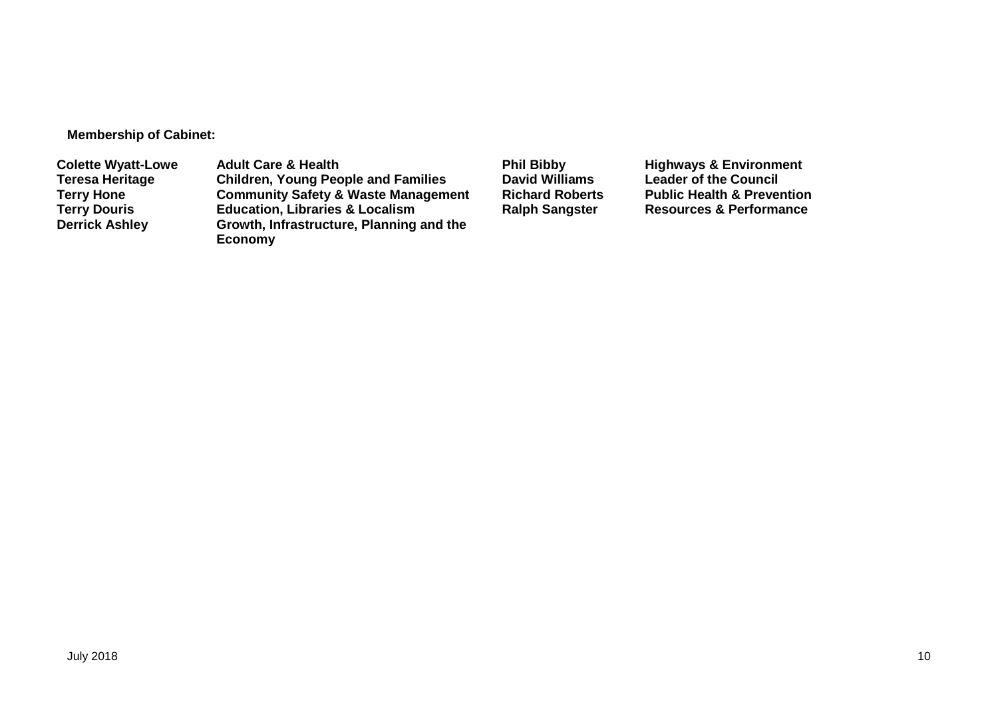**Membership of Cabinet:** 

**Colette Wyatt-Lowe** Adult Care & Health **Phil Bibby Phil Bibby** Highways & Environment<br>Teresa Heritage Children, Young People and Families David Williams Leader of the Council **Teresa Heritage Children, Young People and Families David Williams Leader of the Council Terry Hone Community Safety & Waste Management Richard Roberts Public Health & Prevention Terry Douris <b>Education, Libraries & Localism**<br> **Derrick Ashley** Growth, Infrastructure, Planning **Growth, Infrastructure, Planning and the Economy**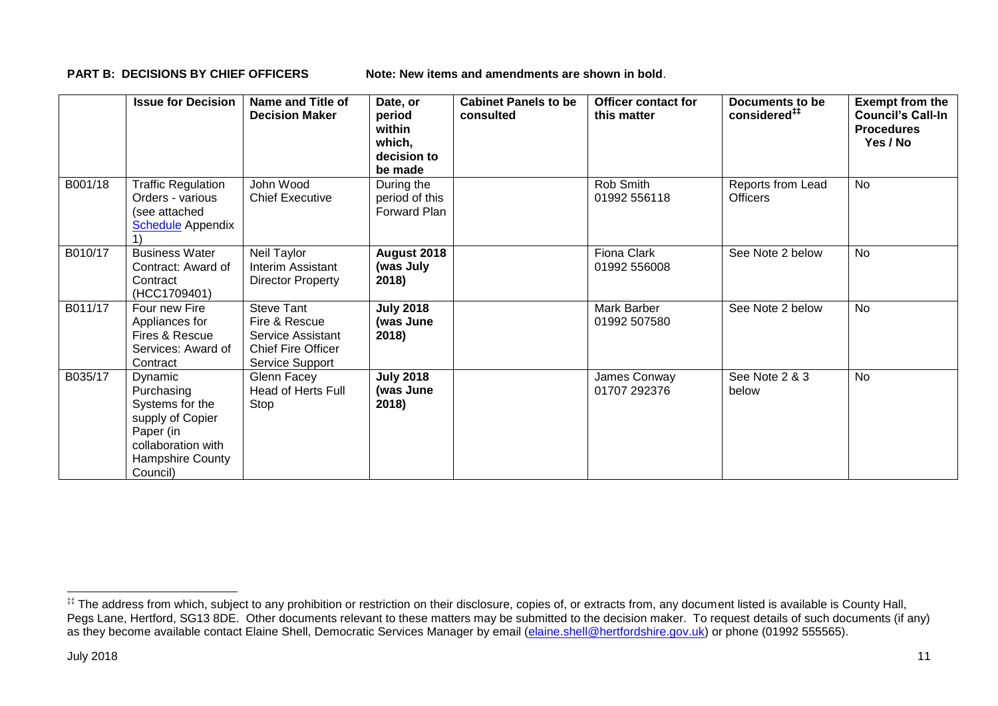**PART B: DECISIONS BY CHIEF OFFICERS Note: New items and amendments are shown in bold.** 

|         | <b>Issue for Decision</b>                                                                                                              | Name and Title of<br><b>Decision Maker</b>                                                              | Date, or<br>period<br>within<br>which,<br>decision to<br>be made | <b>Cabinet Panels to be</b><br>consulted | <b>Officer contact for</b><br>this matter | Documents to be<br>considered <sup>##</sup> | <b>Exempt from the</b><br><b>Council's Call-In</b><br><b>Procedures</b><br>Yes / No |
|---------|----------------------------------------------------------------------------------------------------------------------------------------|---------------------------------------------------------------------------------------------------------|------------------------------------------------------------------|------------------------------------------|-------------------------------------------|---------------------------------------------|-------------------------------------------------------------------------------------|
| B001/18 | <b>Traffic Regulation</b><br>Orders - various<br>(see attached<br><b>Schedule</b> Appendix                                             | John Wood<br><b>Chief Executive</b>                                                                     | During the<br>period of this<br>Forward Plan                     |                                          | Rob Smith<br>01992 556118                 | Reports from Lead<br><b>Officers</b>        | <b>No</b>                                                                           |
| B010/17 | <b>Business Water</b><br>Contract: Award of<br>Contract<br>(HCC1709401)                                                                | Neil Taylor<br><b>Interim Assistant</b><br><b>Director Property</b>                                     | August 2018<br>(was July<br>2018)                                |                                          | Fiona Clark<br>01992 556008               | See Note 2 below                            | <b>No</b>                                                                           |
| B011/17 | Four new Fire<br>Appliances for<br>Fires & Rescue<br>Services: Award of<br>Contract                                                    | <b>Steve Tant</b><br>Fire & Rescue<br>Service Assistant<br><b>Chief Fire Officer</b><br>Service Support | <b>July 2018</b><br>(was June<br>2018)                           |                                          | Mark Barber<br>01992 507580               | See Note 2 below                            | <b>No</b>                                                                           |
| B035/17 | <b>Dynamic</b><br>Purchasing<br>Systems for the<br>supply of Copier<br>Paper (in<br>collaboration with<br>Hampshire County<br>Council) | Glenn Facey<br><b>Head of Herts Full</b><br>Stop                                                        | <b>July 2018</b><br>(was June<br>2018)                           |                                          | James Conway<br>01707 292376              | See Note 2 & 3<br>below                     | <b>No</b>                                                                           |

1

<sup>‡‡</sup> The address from which, subject to any prohibition or restriction on their disclosure, copies of, or extracts from, any document listed is available is County Hall, Pegs Lane, Hertford, SG13 8DE. Other documents relevant to these matters may be submitted to the decision maker. To request details of such documents (if any) as they become available contact Elaine Shell, Democratic Services Manager by email [\(elaine.shell@hertfordshire.gov.uk\)](mailto:elaine.shell@hertfordshire.gov.uk) or phone (01992 55565).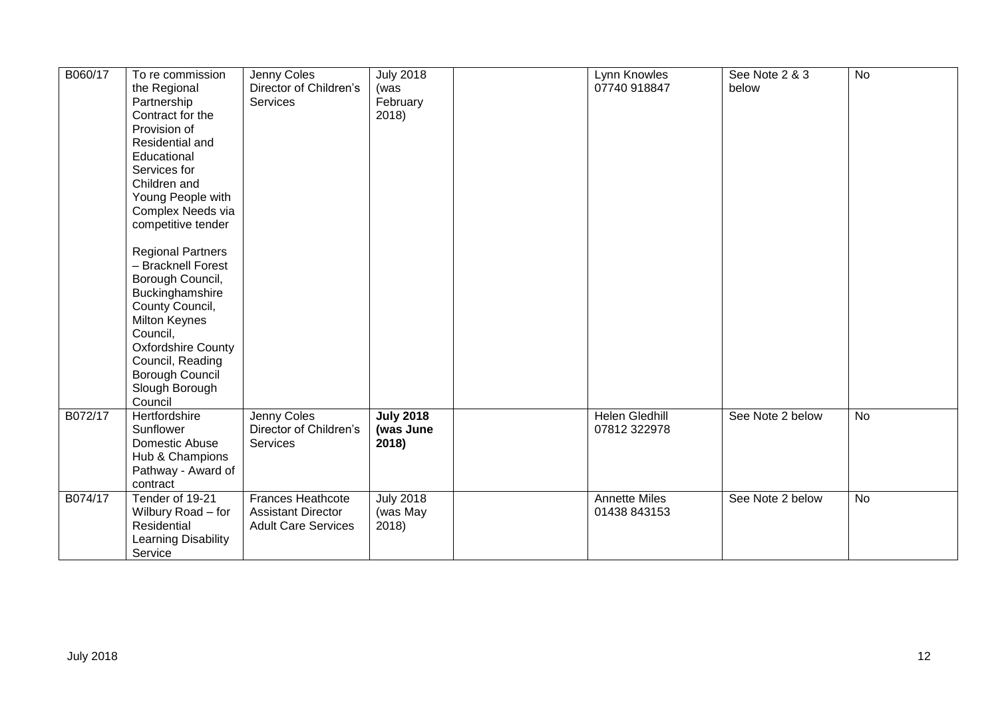| B060/17 | To re commission<br>the Regional<br>Partnership<br>Contract for the<br>Provision of<br>Residential and<br>Educational<br>Services for<br>Children and<br>Young People with<br>Complex Needs via<br>competitive tender<br><b>Regional Partners</b><br>- Bracknell Forest<br>Borough Council,<br>Buckinghamshire<br>County Council,<br><b>Milton Keynes</b><br>Council,<br><b>Oxfordshire County</b><br>Council, Reading<br>Borough Council<br>Slough Borough<br>Council | Jenny Coles<br>Director of Children's<br>Services                                   | <b>July 2018</b><br>(was<br>February<br>2018) | Lynn Knowles<br>07740 918847          | See Note 2 & 3<br>below | <b>No</b> |
|---------|------------------------------------------------------------------------------------------------------------------------------------------------------------------------------------------------------------------------------------------------------------------------------------------------------------------------------------------------------------------------------------------------------------------------------------------------------------------------|-------------------------------------------------------------------------------------|-----------------------------------------------|---------------------------------------|-------------------------|-----------|
| B072/17 | Hertfordshire<br>Sunflower<br>Domestic Abuse<br>Hub & Champions<br>Pathway - Award of<br>contract                                                                                                                                                                                                                                                                                                                                                                      | Jenny Coles<br>Director of Children's<br>Services                                   | <b>July 2018</b><br>(was June<br>2018)        | <b>Helen Gledhill</b><br>07812 322978 | See Note 2 below        | No        |
| B074/17 | Tender of 19-21<br>Wilbury Road - for<br>Residential<br>Learning Disability<br>Service                                                                                                                                                                                                                                                                                                                                                                                 | <b>Frances Heathcote</b><br><b>Assistant Director</b><br><b>Adult Care Services</b> | <b>July 2018</b><br>(was May<br>2018)         | <b>Annette Miles</b><br>01438 843153  | See Note 2 below        | No        |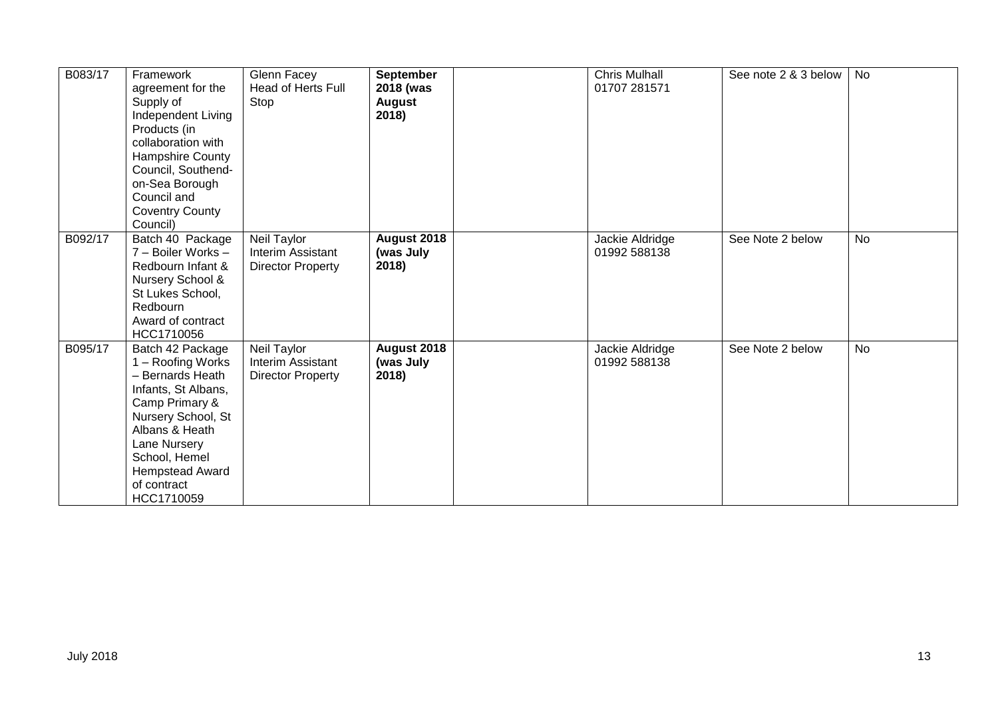| B083/17 | Framework<br>agreement for the<br>Supply of<br>Independent Living<br>Products (in<br>collaboration with<br>Hampshire County<br>Council, Southend-<br>on-Sea Borough<br>Council and<br><b>Coventry County</b><br>Council)    | Glenn Facey<br><b>Head of Herts Full</b><br>Stop             | September<br>2018 (was<br><b>August</b><br>2018) | <b>Chris Mulhall</b><br>01707 281571 | See note 2 & 3 below | No        |
|---------|-----------------------------------------------------------------------------------------------------------------------------------------------------------------------------------------------------------------------------|--------------------------------------------------------------|--------------------------------------------------|--------------------------------------|----------------------|-----------|
| B092/17 | Batch 40 Package<br>7 - Boiler Works -<br>Redbourn Infant &<br>Nursery School &<br>St Lukes School,<br>Redbourn<br>Award of contract<br>HCC1710056                                                                          | Neil Taylor<br>Interim Assistant<br><b>Director Property</b> | August 2018<br>(was July<br>2018)                | Jackie Aldridge<br>01992 588138      | See Note 2 below     | No        |
| B095/17 | Batch 42 Package<br>1 – Roofing Works<br>- Bernards Heath<br>Infants, St Albans,<br>Camp Primary &<br>Nursery School, St<br>Albans & Heath<br>Lane Nursery<br>School, Hemel<br>Hempstead Award<br>of contract<br>HCC1710059 | Neil Taylor<br>Interim Assistant<br><b>Director Property</b> | August 2018<br>(was July<br>2018)                | Jackie Aldridge<br>01992 588138      | See Note 2 below     | <b>No</b> |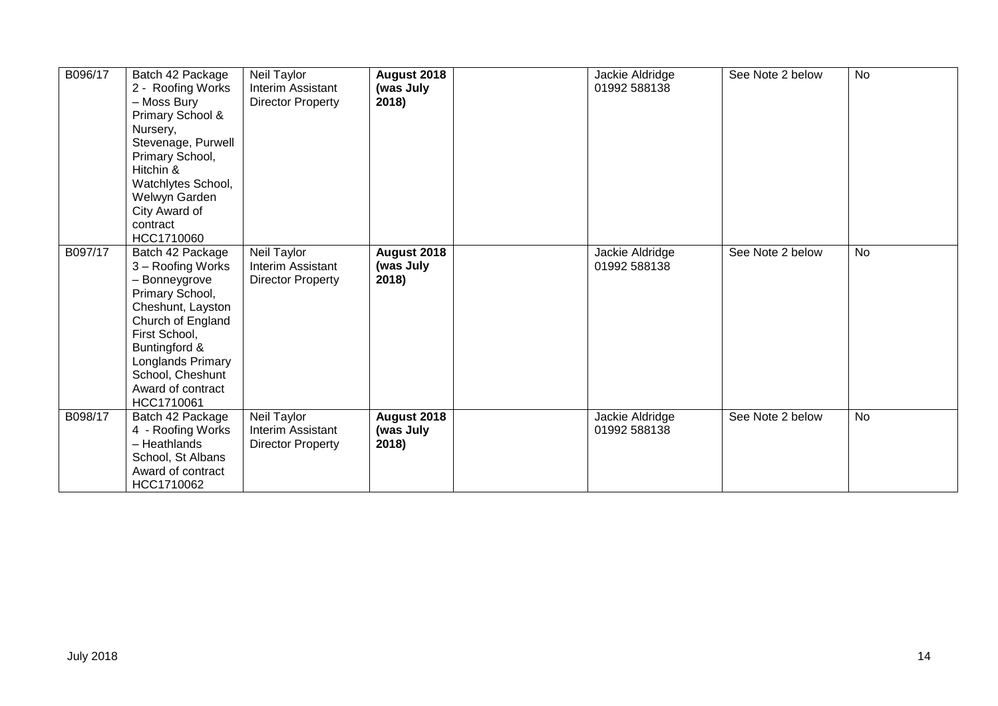| B096/17 | Batch 42 Package<br>2 - Roofing Works<br>- Moss Bury<br>Primary School &<br>Nursery,<br>Stevenage, Purwell<br>Primary School,<br>Hitchin &<br>Watchlytes School,<br>Welwyn Garden<br>City Award of<br>contract<br>HCC1710060      | Neil Taylor<br><b>Interim Assistant</b><br>Director Property | August 2018<br>(was July<br>2018) | Jackie Aldridge<br>01992 588138 | See Note 2 below | No        |
|---------|-----------------------------------------------------------------------------------------------------------------------------------------------------------------------------------------------------------------------------------|--------------------------------------------------------------|-----------------------------------|---------------------------------|------------------|-----------|
| B097/17 | Batch 42 Package<br>3 - Roofing Works<br>- Bonneygrove<br>Primary School,<br>Cheshunt, Layston<br>Church of England<br>First School,<br>Buntingford &<br>Longlands Primary<br>School, Cheshunt<br>Award of contract<br>HCC1710061 | Neil Taylor<br>Interim Assistant<br><b>Director Property</b> | August 2018<br>(was July<br>2018) | Jackie Aldridge<br>01992 588138 | See Note 2 below | <b>No</b> |
| B098/17 | Batch 42 Package<br>4 - Roofing Works<br>- Heathlands<br>School, St Albans<br>Award of contract<br>HCC1710062                                                                                                                     | Neil Taylor<br>Interim Assistant<br><b>Director Property</b> | August 2018<br>(was July<br>2018) | Jackie Aldridge<br>01992 588138 | See Note 2 below | <b>No</b> |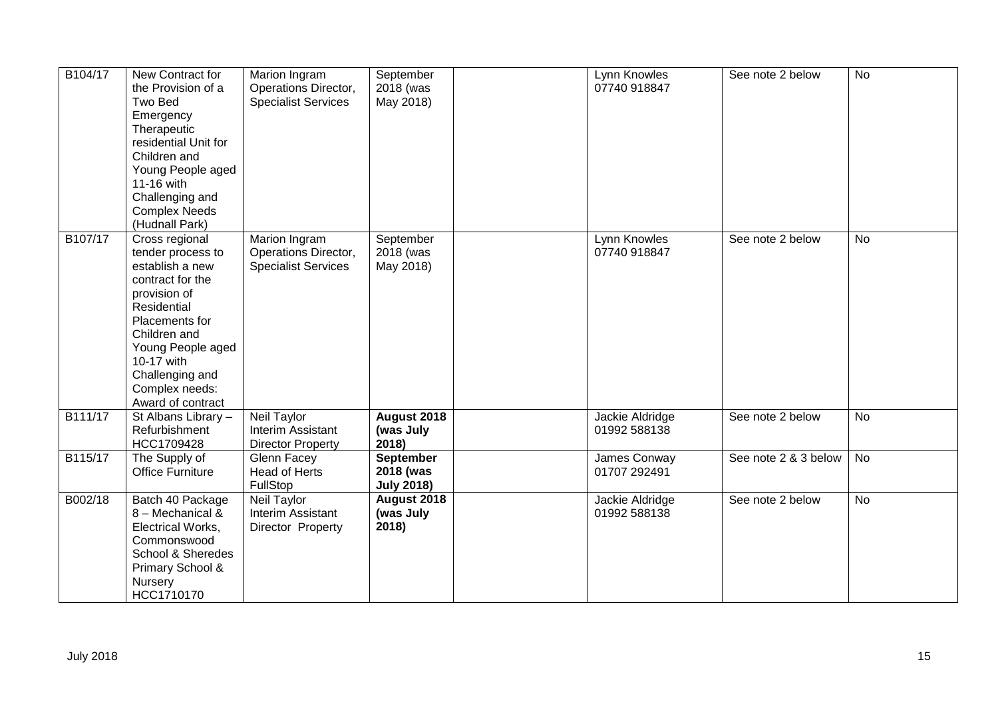| B104/17 | New Contract for<br>the Provision of a<br>Two Bed<br>Emergency<br>Therapeutic<br>residential Unit for<br>Children and<br>Young People aged<br>11-16 with<br>Challenging and<br><b>Complex Needs</b><br>(Hudnall Park)                    | Marion Ingram<br>Operations Director,<br><b>Specialist Services</b> | September<br>2018 (was<br>May 2018)                | Lynn Knowles<br>07740 918847    | See note 2 below     | No |
|---------|------------------------------------------------------------------------------------------------------------------------------------------------------------------------------------------------------------------------------------------|---------------------------------------------------------------------|----------------------------------------------------|---------------------------------|----------------------|----|
| B107/17 | Cross regional<br>tender process to<br>establish a new<br>contract for the<br>provision of<br>Residential<br>Placements for<br>Children and<br>Young People aged<br>10-17 with<br>Challenging and<br>Complex needs:<br>Award of contract | Marion Ingram<br>Operations Director,<br><b>Specialist Services</b> | September<br>2018 (was<br>May 2018)                | Lynn Knowles<br>07740 918847    | See note 2 below     | No |
| B111/17 | St Albans Library -<br>Refurbishment<br>HCC1709428                                                                                                                                                                                       | Neil Taylor<br>Interim Assistant<br><b>Director Property</b>        | August 2018<br>(was July<br>2018)                  | Jackie Aldridge<br>01992 588138 | See note 2 below     | No |
| B115/17 | The Supply of<br><b>Office Furniture</b>                                                                                                                                                                                                 | Glenn Facey<br>Head of Herts<br>FullStop                            | <b>September</b><br>2018 (was<br><b>July 2018)</b> | James Conway<br>01707 292491    | See note 2 & 3 below | No |
| B002/18 | Batch 40 Package<br>8 - Mechanical &<br>Electrical Works,<br>Commonswood<br>School & Sheredes<br>Primary School &<br>Nursery<br>HCC1710170                                                                                               | Neil Taylor<br>Interim Assistant<br>Director Property               | August 2018<br>(was July<br>2018)                  | Jackie Aldridge<br>01992 588138 | See note 2 below     | No |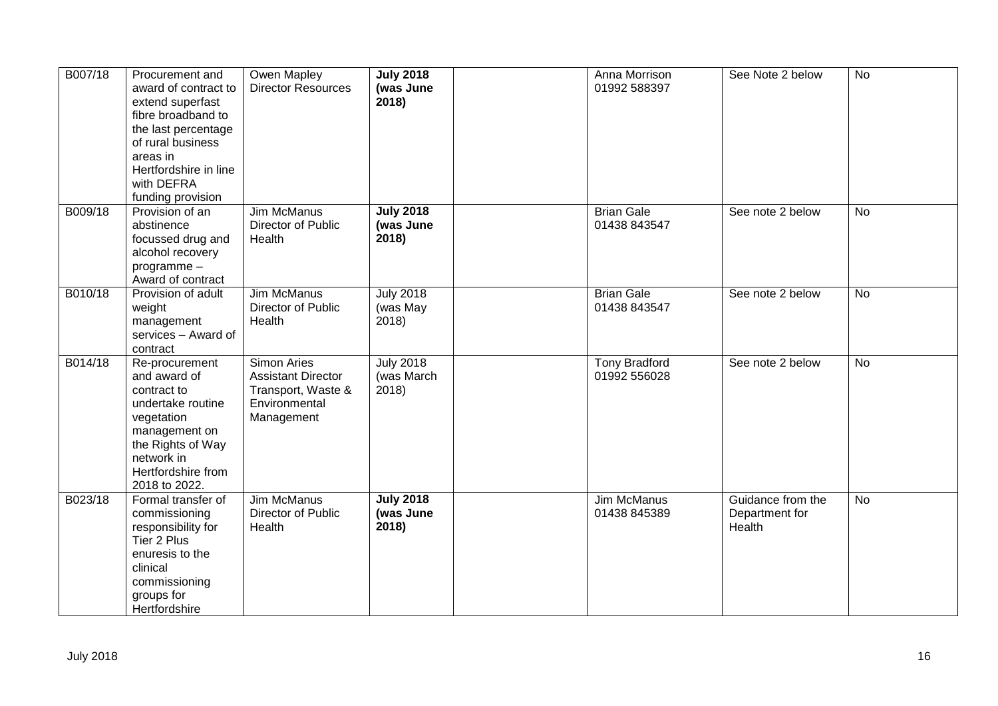| B007/18 | Procurement and<br>award of contract to<br>extend superfast<br>fibre broadband to<br>the last percentage<br>of rural business<br>areas in<br>Hertfordshire in line<br>with DEFRA<br>funding provision | Owen Mapley<br><b>Director Resources</b>                                                      | <b>July 2018</b><br>(was June<br>2018)  | Anna Morrison<br>01992 588397        | See Note 2 below                              | <b>No</b>      |
|---------|-------------------------------------------------------------------------------------------------------------------------------------------------------------------------------------------------------|-----------------------------------------------------------------------------------------------|-----------------------------------------|--------------------------------------|-----------------------------------------------|----------------|
| B009/18 | Provision of an<br>abstinence<br>focussed drug and<br>alcohol recovery<br>programme-<br>Award of contract                                                                                             | <b>Jim McManus</b><br>Director of Public<br>Health                                            | <b>July 2018</b><br>(was June<br>2018)  | <b>Brian Gale</b><br>01438 843547    | See note 2 below                              | <b>No</b>      |
| B010/18 | Provision of adult<br>weight<br>management<br>services - Award of<br>contract                                                                                                                         | Jim McManus<br>Director of Public<br>Health                                                   | <b>July 2018</b><br>(was May<br>2018)   | <b>Brian Gale</b><br>01438 843547    | See note 2 below                              | No             |
| B014/18 | Re-procurement<br>and award of<br>contract to<br>undertake routine<br>vegetation<br>management on<br>the Rights of Way<br>network in<br>Hertfordshire from<br>2018 to 2022.                           | Simon Aries<br><b>Assistant Director</b><br>Transport, Waste &<br>Environmental<br>Management | <b>July 2018</b><br>(was March<br>2018) | <b>Tony Bradford</b><br>01992 556028 | See note 2 below                              | $\overline{N}$ |
| B023/18 | Formal transfer of<br>commissioning<br>responsibility for<br>Tier 2 Plus<br>enuresis to the<br>clinical<br>commissioning<br>groups for<br>Hertfordshire                                               | Jim McManus<br>Director of Public<br>Health                                                   | <b>July 2018</b><br>(was June<br>2018)  | Jim McManus<br>01438 845389          | Guidance from the<br>Department for<br>Health | No             |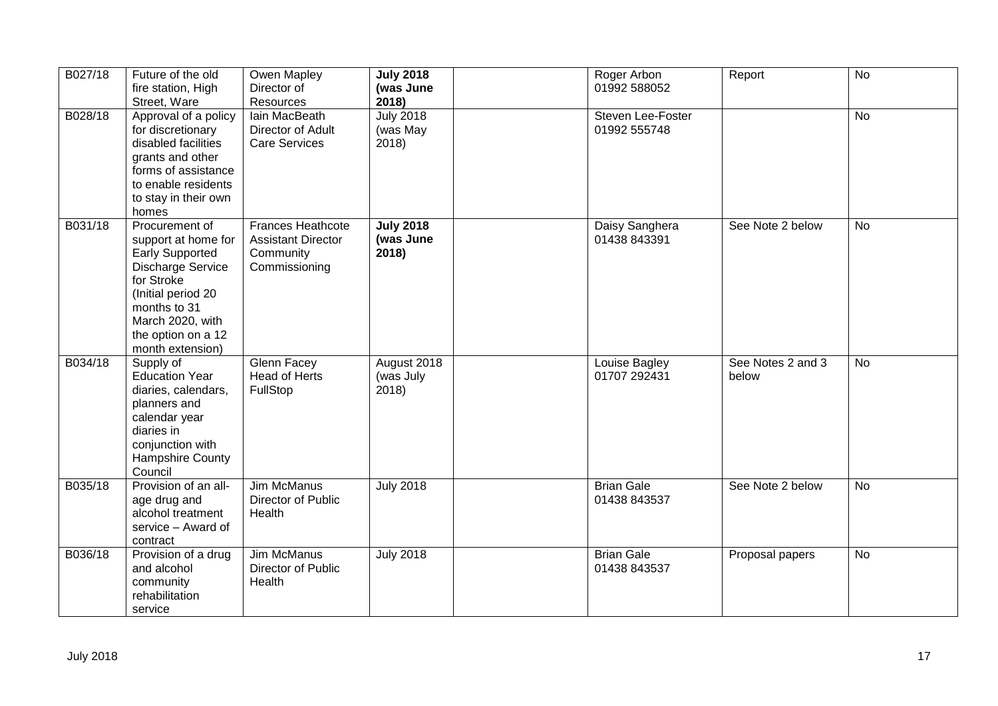| B027/18 | Future of the old<br>fire station, High<br>Street, Ware                                                                                                                                                       | Owen Mapley<br>Director of<br>Resources                                             | <b>July 2018</b><br>(was June<br>2018) | Roger Arbon<br>01992 588052       | Report                     | <b>No</b> |
|---------|---------------------------------------------------------------------------------------------------------------------------------------------------------------------------------------------------------------|-------------------------------------------------------------------------------------|----------------------------------------|-----------------------------------|----------------------------|-----------|
| B028/18 | Approval of a policy<br>for discretionary<br>disabled facilities<br>grants and other<br>forms of assistance<br>to enable residents<br>to stay in their own<br>homes                                           | lain MacBeath<br>Director of Adult<br><b>Care Services</b>                          | <b>July 2018</b><br>(was May<br>2018)  | Steven Lee-Foster<br>01992 555748 |                            | <b>No</b> |
| B031/18 | Procurement of<br>support at home for<br><b>Early Supported</b><br><b>Discharge Service</b><br>for Stroke<br>(Initial period 20<br>months to 31<br>March 2020, with<br>the option on a 12<br>month extension) | <b>Frances Heathcote</b><br><b>Assistant Director</b><br>Community<br>Commissioning | <b>July 2018</b><br>(was June<br>2018) | Daisy Sanghera<br>01438 843391    | See Note 2 below           | <b>No</b> |
| B034/18 | Supply of<br><b>Education Year</b><br>diaries, calendars,<br>planners and<br>calendar year<br>diaries in<br>conjunction with<br>Hampshire County<br>Council                                                   | Glenn Facey<br>Head of Herts<br>FullStop                                            | August 2018<br>(was July<br>2018)      | Louise Bagley<br>01707 292431     | See Notes 2 and 3<br>below | <b>No</b> |
| B035/18 | Provision of an all-<br>age drug and<br>alcohol treatment<br>service - Award of<br>contract                                                                                                                   | Jim McManus<br>Director of Public<br>Health                                         | <b>July 2018</b>                       | <b>Brian Gale</b><br>01438 843537 | See Note 2 below           | No        |
| B036/18 | Provision of a drug<br>and alcohol<br>community<br>rehabilitation<br>service                                                                                                                                  | Jim McManus<br>Director of Public<br>Health                                         | <b>July 2018</b>                       | <b>Brian Gale</b><br>01438 843537 | Proposal papers            | <b>No</b> |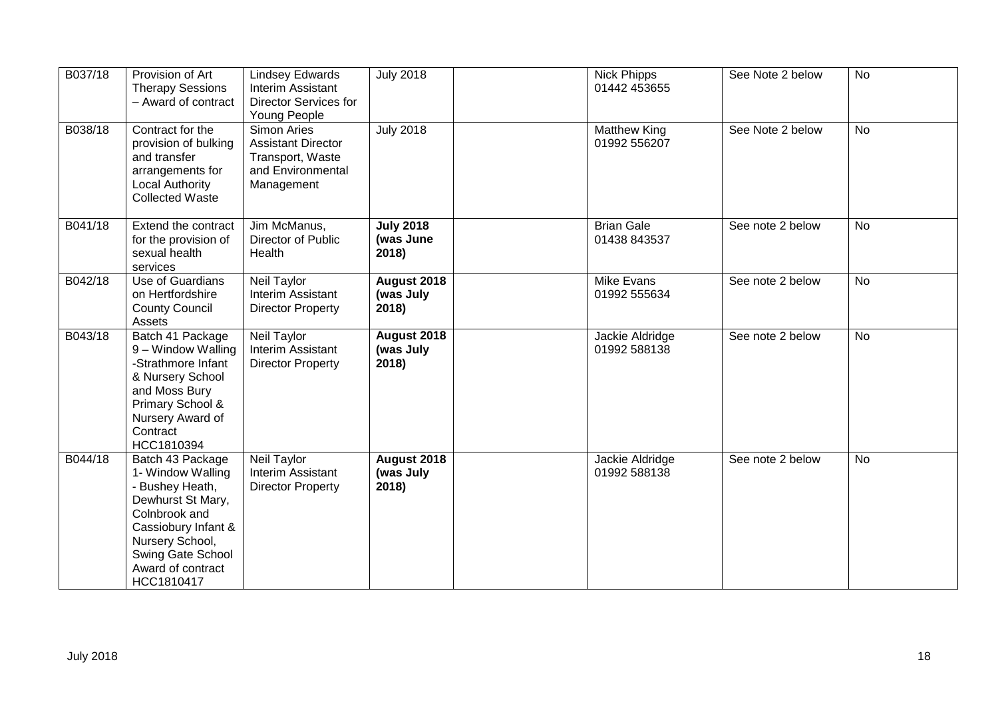| B037/18 | Provision of Art<br><b>Therapy Sessions</b><br>- Award of contract                                                                                                                               | <b>Lindsey Edwards</b><br>Interim Assistant<br><b>Director Services for</b><br>Young People     | <b>July 2018</b>                       | <b>Nick Phipps</b><br>01442 453655  | See Note 2 below | <b>No</b> |
|---------|--------------------------------------------------------------------------------------------------------------------------------------------------------------------------------------------------|-------------------------------------------------------------------------------------------------|----------------------------------------|-------------------------------------|------------------|-----------|
| B038/18 | Contract for the<br>provision of bulking<br>and transfer<br>arrangements for<br><b>Local Authority</b><br><b>Collected Waste</b>                                                                 | Simon Aries<br><b>Assistant Director</b><br>Transport, Waste<br>and Environmental<br>Management | <b>July 2018</b>                       | <b>Matthew King</b><br>01992 556207 | See Note 2 below | <b>No</b> |
| B041/18 | Extend the contract<br>for the provision of<br>sexual health<br>services                                                                                                                         | Jim McManus,<br>Director of Public<br>Health                                                    | <b>July 2018</b><br>(was June<br>2018) | <b>Brian Gale</b><br>01438 843537   | See note 2 below | No        |
| B042/18 | Use of Guardians<br>on Hertfordshire<br><b>County Council</b><br>Assets                                                                                                                          | Neil Taylor<br>Interim Assistant<br><b>Director Property</b>                                    | August 2018<br>(was July<br>2018)      | Mike Evans<br>01992 555634          | See note 2 below | <b>No</b> |
| B043/18 | Batch 41 Package<br>9 – Window Walling<br>-Strathmore Infant<br>& Nursery School<br>and Moss Bury<br>Primary School &<br>Nursery Award of<br>Contract<br>HCC1810394                              | <b>Neil Taylor</b><br>Interim Assistant<br><b>Director Property</b>                             | August 2018<br>(was July<br>2018)      | Jackie Aldridge<br>01992 588138     | See note 2 below | <b>No</b> |
| B044/18 | Batch 43 Package<br>1- Window Walling<br>- Bushey Heath,<br>Dewhurst St Mary,<br>Colnbrook and<br>Cassiobury Infant &<br>Nursery School,<br>Swing Gate School<br>Award of contract<br>HCC1810417 | Neil Taylor<br>Interim Assistant<br><b>Director Property</b>                                    | August 2018<br>(was July<br>2018)      | Jackie Aldridge<br>01992 588138     | See note 2 below | <b>No</b> |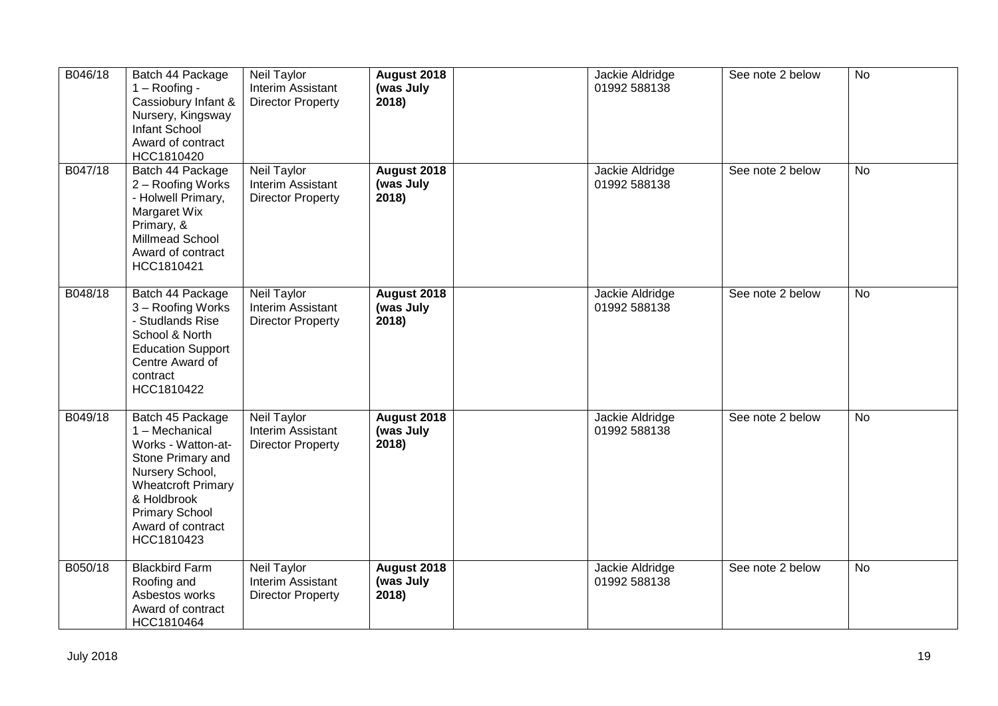| B046/18 | Batch 44 Package<br>$1 -$ Roofing -<br>Cassiobury Infant &<br>Nursery, Kingsway<br><b>Infant School</b><br>Award of contract<br>HCC1810420                                                               | Neil Taylor<br>Interim Assistant<br><b>Director Property</b>        | August 2018<br>(was July<br>2018) | Jackie Aldridge<br>01992 588138 | See note 2 below | <b>No</b> |
|---------|----------------------------------------------------------------------------------------------------------------------------------------------------------------------------------------------------------|---------------------------------------------------------------------|-----------------------------------|---------------------------------|------------------|-----------|
| B047/18 | Batch 44 Package<br>2 - Roofing Works<br>- Holwell Primary,<br>Margaret Wix<br>Primary, &<br>Millmead School<br>Award of contract<br>HCC1810421                                                          | <b>Neil Taylor</b><br>Interim Assistant<br><b>Director Property</b> | August 2018<br>(was July<br>2018  | Jackie Aldridge<br>01992 588138 | See note 2 below | <b>No</b> |
| B048/18 | Batch 44 Package<br>3 - Roofing Works<br>- Studlands Rise<br>School & North<br><b>Education Support</b><br>Centre Award of<br>contract<br>HCC1810422                                                     | Neil Taylor<br>Interim Assistant<br><b>Director Property</b>        | August 2018<br>(was July<br>2018) | Jackie Aldridge<br>01992 588138 | See note 2 below | <b>No</b> |
| B049/18 | Batch 45 Package<br>1 - Mechanical<br>Works - Watton-at-<br>Stone Primary and<br>Nursery School,<br><b>Wheatcroft Primary</b><br>& Holdbrook<br><b>Primary School</b><br>Award of contract<br>HCC1810423 | Neil Taylor<br>Interim Assistant<br><b>Director Property</b>        | August 2018<br>(was July<br>2018) | Jackie Aldridge<br>01992 588138 | See note 2 below | <b>No</b> |
| B050/18 | <b>Blackbird Farm</b><br>Roofing and<br>Asbestos works<br>Award of contract<br>HCC1810464                                                                                                                | Neil Taylor<br>Interim Assistant<br><b>Director Property</b>        | August 2018<br>(was July<br>2018) | Jackie Aldridge<br>01992 588138 | See note 2 below | <b>No</b> |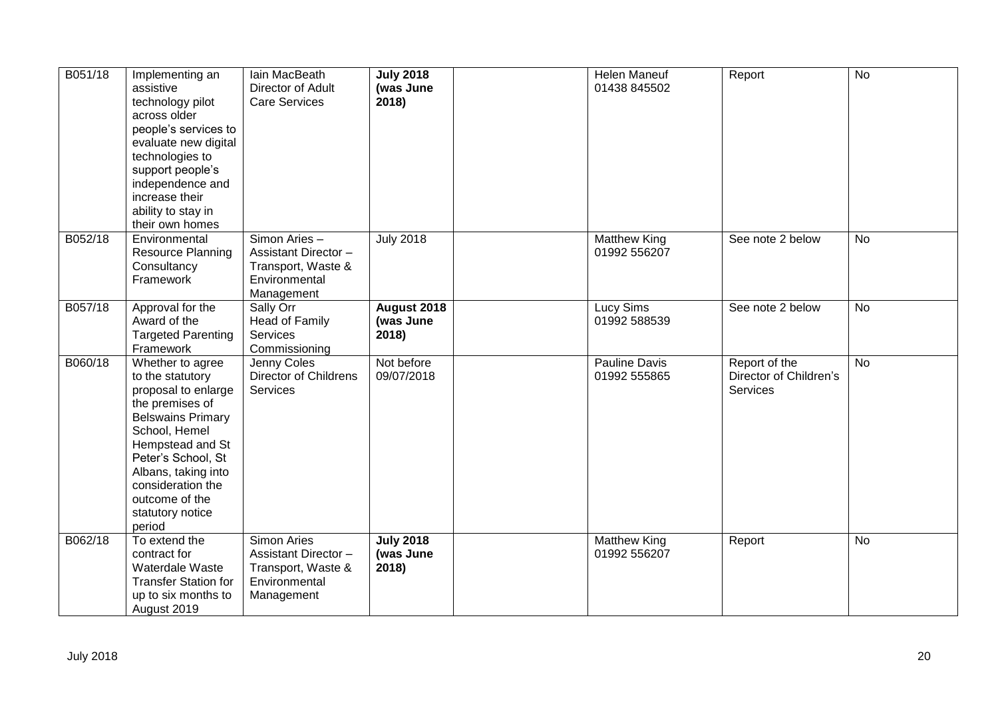| B051/18 | Implementing an<br>assistive<br>technology pilot<br>across older<br>people's services to<br>evaluate new digital<br>technologies to<br>support people's<br>independence and<br>increase their<br>ability to stay in<br>their own homes                            | lain MacBeath<br>Director of Adult<br><b>Care Services</b>                                      | <b>July 2018</b><br>(was June<br>2018) | Helen Maneuf<br>01438 845502        | Report                                                     | <b>No</b> |
|---------|-------------------------------------------------------------------------------------------------------------------------------------------------------------------------------------------------------------------------------------------------------------------|-------------------------------------------------------------------------------------------------|----------------------------------------|-------------------------------------|------------------------------------------------------------|-----------|
| B052/18 | Environmental<br><b>Resource Planning</b><br>Consultancy<br>Framework                                                                                                                                                                                             | Simon Aries -<br>Assistant Director -<br>Transport, Waste &<br>Environmental<br>Management      | <b>July 2018</b>                       | <b>Matthew King</b><br>01992 556207 | See note 2 below                                           | <b>No</b> |
| B057/18 | Approval for the<br>Award of the<br><b>Targeted Parenting</b><br>Framework                                                                                                                                                                                        | Sally Orr<br>Head of Family<br>Services<br>Commissioning                                        | August 2018<br>(was June<br>2018)      | Lucy Sims<br>01992 588539           | See note 2 below                                           | <b>No</b> |
| B060/18 | Whether to agree<br>to the statutory<br>proposal to enlarge<br>the premises of<br><b>Belswains Primary</b><br>School, Hemel<br>Hempstead and St<br>Peter's School, St<br>Albans, taking into<br>consideration the<br>outcome of the<br>statutory notice<br>period | Jenny Coles<br>Director of Childrens<br>Services                                                | Not before<br>09/07/2018               | Pauline Davis<br>01992 555865       | Report of the<br>Director of Children's<br><b>Services</b> | <b>No</b> |
| B062/18 | To extend the<br>contract for<br>Waterdale Waste<br><b>Transfer Station for</b><br>up to six months to<br>August 2019                                                                                                                                             | Simon Aries<br><b>Assistant Director -</b><br>Transport, Waste &<br>Environmental<br>Management | <b>July 2018</b><br>(was June<br>2018) | <b>Matthew King</b><br>01992 556207 | Report                                                     | <b>No</b> |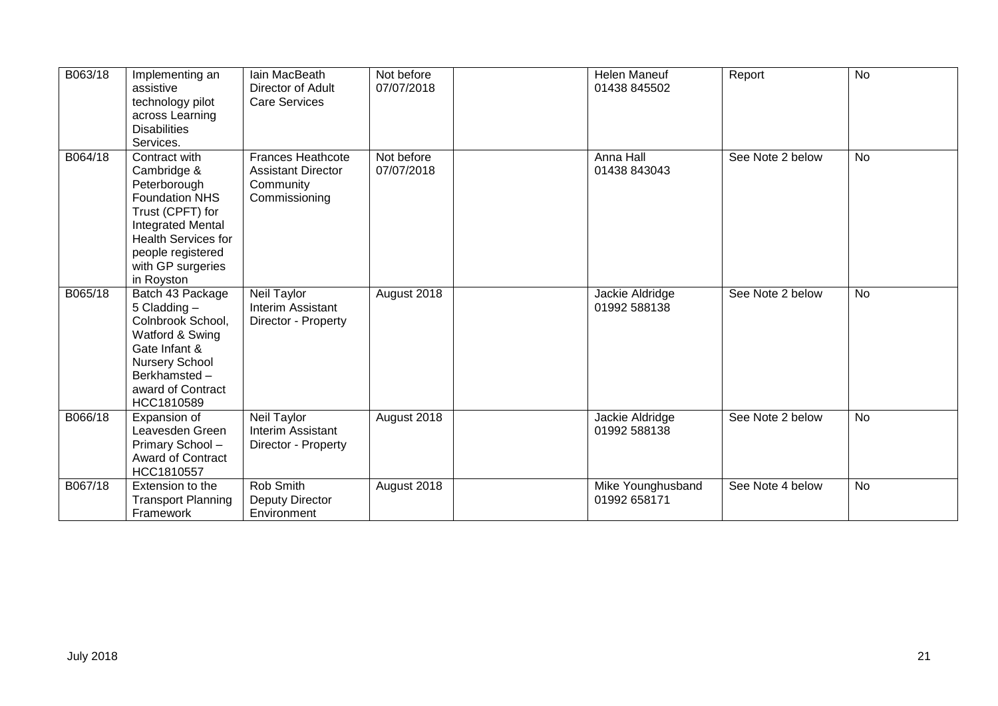| B063/18 | Implementing an<br>assistive<br>technology pilot<br>across Learning<br><b>Disabilities</b><br>Services.                                                                                                     | lain MacBeath<br>Director of Adult<br><b>Care Services</b>                          | Not before<br>07/07/2018 | <b>Helen Maneuf</b><br>01438 845502 | Report           | <b>No</b> |
|---------|-------------------------------------------------------------------------------------------------------------------------------------------------------------------------------------------------------------|-------------------------------------------------------------------------------------|--------------------------|-------------------------------------|------------------|-----------|
| B064/18 | Contract with<br>Cambridge &<br>Peterborough<br><b>Foundation NHS</b><br>Trust (CPFT) for<br><b>Integrated Mental</b><br><b>Health Services for</b><br>people registered<br>with GP surgeries<br>in Royston | <b>Frances Heathcote</b><br><b>Assistant Director</b><br>Community<br>Commissioning | Not before<br>07/07/2018 | Anna Hall<br>01438 843043           | See Note 2 below | <b>No</b> |
| B065/18 | Batch 43 Package<br>5 Cladding -<br>Colnbrook School,<br>Watford & Swing<br>Gate Infant &<br><b>Nursery School</b><br>Berkhamsted-<br>award of Contract<br>HCC1810589                                       | Neil Taylor<br>Interim Assistant<br>Director - Property                             | August 2018              | Jackie Aldridge<br>01992 588138     | See Note 2 below | <b>No</b> |
| B066/18 | Expansion of<br>Leavesden Green<br>Primary School-<br><b>Award of Contract</b><br>HCC1810557                                                                                                                | <b>Neil Taylor</b><br>Interim Assistant<br>Director - Property                      | August 2018              | Jackie Aldridge<br>01992 588138     | See Note 2 below | <b>No</b> |
| B067/18 | Extension to the<br><b>Transport Planning</b><br>Framework                                                                                                                                                  | Rob Smith<br>Deputy Director<br>Environment                                         | August 2018              | Mike Younghusband<br>01992 658171   | See Note 4 below | <b>No</b> |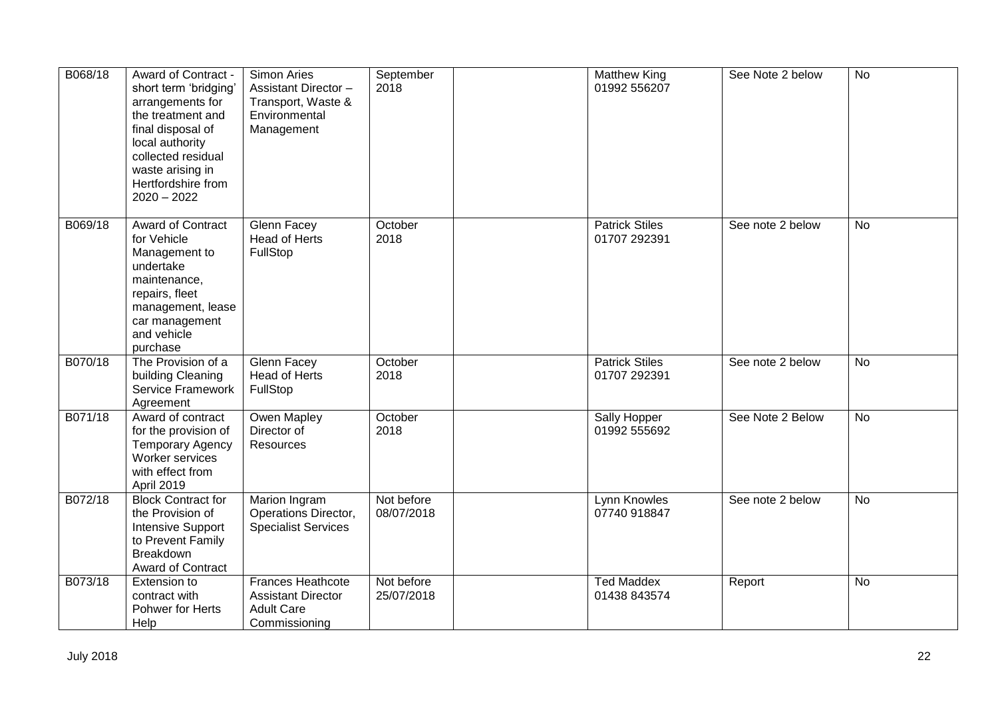| B068/18 | Award of Contract -<br>short term 'bridging'<br>arrangements for<br>the treatment and<br>final disposal of<br>local authority<br>collected residual<br>waste arising in<br>Hertfordshire from<br>$2020 - 2022$ | Simon Aries<br>Assistant Director-<br>Transport, Waste &<br>Environmental<br>Management     | September<br>2018        | <b>Matthew King</b><br>01992 556207   | See Note 2 below | <b>No</b>      |
|---------|----------------------------------------------------------------------------------------------------------------------------------------------------------------------------------------------------------------|---------------------------------------------------------------------------------------------|--------------------------|---------------------------------------|------------------|----------------|
| B069/18 | Award of Contract<br>for Vehicle<br>Management to<br>undertake<br>maintenance,<br>repairs, fleet<br>management, lease<br>car management<br>and vehicle<br>purchase                                             | Glenn Facey<br><b>Head of Herts</b><br>FullStop                                             | October<br>2018          | <b>Patrick Stiles</b><br>01707 292391 | See note 2 below | <b>No</b>      |
| B070/18 | The Provision of a<br>building Cleaning<br>Service Framework<br>Agreement                                                                                                                                      | Glenn Facey<br><b>Head of Herts</b><br>FullStop                                             | October<br>2018          | <b>Patrick Stiles</b><br>01707 292391 | See note 2 below | <b>No</b>      |
| B071/18 | Award of contract<br>for the provision of<br><b>Temporary Agency</b><br>Worker services<br>with effect from<br>April 2019                                                                                      | <b>Owen Mapley</b><br>Director of<br><b>Resources</b>                                       | October<br>2018          | Sally Hopper<br>01992 555692          | See Note 2 Below | $\overline{N}$ |
| B072/18 | <b>Block Contract for</b><br>the Provision of<br><b>Intensive Support</b><br>to Prevent Family<br>Breakdown<br>Award of Contract                                                                               | Marion Ingram<br>Operations Director,<br><b>Specialist Services</b>                         | Not before<br>08/07/2018 | Lynn Knowles<br>07740 918847          | See note 2 below | <b>No</b>      |
| B073/18 | Extension to<br>contract with<br>Pohwer for Herts<br>Help                                                                                                                                                      | <b>Frances Heathcote</b><br><b>Assistant Director</b><br><b>Adult Care</b><br>Commissioning | Not before<br>25/07/2018 | <b>Ted Maddex</b><br>01438 843574     | Report           | No             |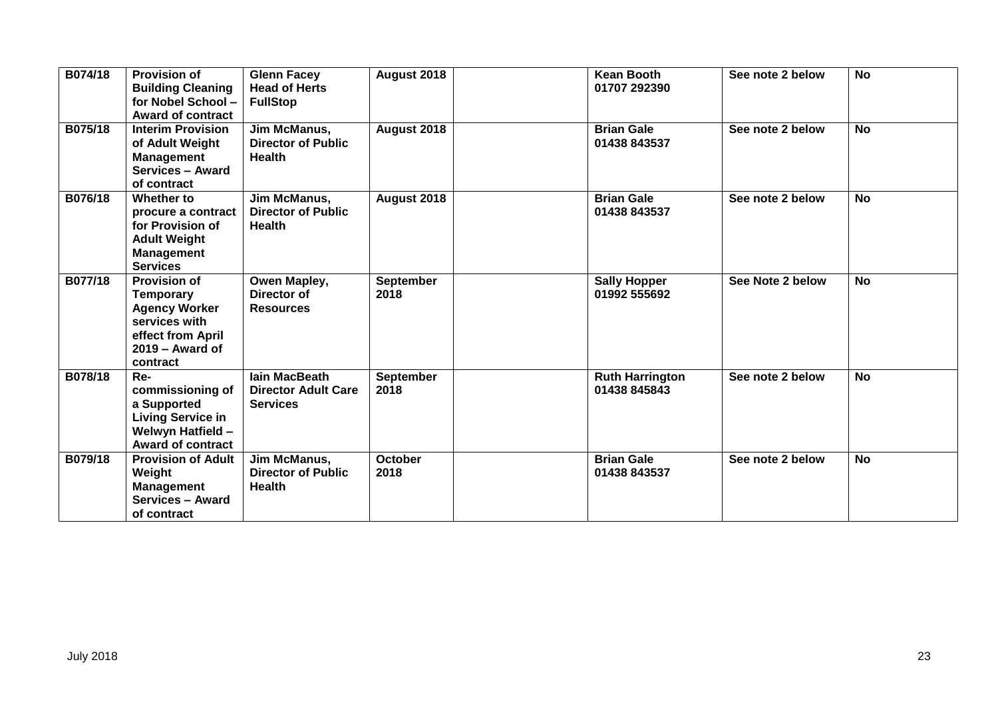| B074/18 | <b>Provision of</b><br><b>Building Cleaning</b><br>for Nobel School -<br><b>Award of contract</b>                                      | <b>Glenn Facey</b><br><b>Head of Herts</b><br><b>FullStop</b>         | August 2018              | <b>Kean Booth</b><br>01707 292390      | See note 2 below | <b>No</b> |
|---------|----------------------------------------------------------------------------------------------------------------------------------------|-----------------------------------------------------------------------|--------------------------|----------------------------------------|------------------|-----------|
| B075/18 | <b>Interim Provision</b><br>of Adult Weight<br><b>Management</b><br><b>Services - Award</b><br>of contract                             | Jim McManus,<br><b>Director of Public</b><br><b>Health</b>            | August 2018              | <b>Brian Gale</b><br>01438 843537      | See note 2 below | <b>No</b> |
| B076/18 | Whether to<br>procure a contract<br>for Provision of<br><b>Adult Weight</b><br><b>Management</b><br><b>Services</b>                    | Jim McManus,<br><b>Director of Public</b><br><b>Health</b>            | August 2018              | <b>Brian Gale</b><br>01438 843537      | See note 2 below | <b>No</b> |
| B077/18 | <b>Provision of</b><br><b>Temporary</b><br><b>Agency Worker</b><br>services with<br>effect from April<br>$2019 -$ Award of<br>contract | Owen Mapley,<br>Director of<br><b>Resources</b>                       | <b>September</b><br>2018 | <b>Sally Hopper</b><br>01992 555692    | See Note 2 below | <b>No</b> |
| B078/18 | Re-<br>commissioning of<br>a Supported<br><b>Living Service in</b><br><b>Welwyn Hatfield -</b><br><b>Award of contract</b>             | <b>lain MacBeath</b><br><b>Director Adult Care</b><br><b>Services</b> | September<br>2018        | <b>Ruth Harrington</b><br>01438 845843 | See note 2 below | <b>No</b> |
| B079/18 | <b>Provision of Adult</b><br>Weight<br><b>Management</b><br><b>Services - Award</b><br>of contract                                     | Jim McManus,<br><b>Director of Public</b><br><b>Health</b>            | <b>October</b><br>2018   | <b>Brian Gale</b><br>01438 843537      | See note 2 below | <b>No</b> |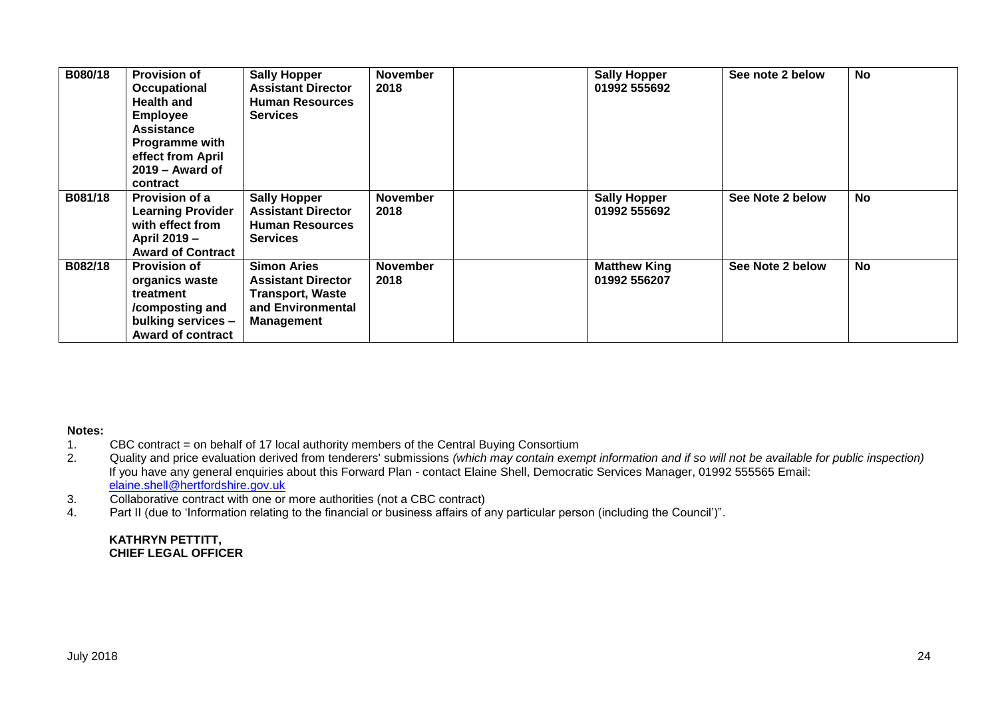| B080/18 | <b>Provision of</b><br><b>Occupational</b><br><b>Health and</b><br><b>Employee</b><br><b>Assistance</b><br><b>Programme with</b><br>effect from April<br>$2019 -$ Award of<br>contract | <b>Sally Hopper</b><br><b>Assistant Director</b><br><b>Human Resources</b><br><b>Services</b>                        | <b>November</b><br>2018 | <b>Sally Hopper</b><br>01992 555692 | See note 2 below | <b>No</b> |
|---------|----------------------------------------------------------------------------------------------------------------------------------------------------------------------------------------|----------------------------------------------------------------------------------------------------------------------|-------------------------|-------------------------------------|------------------|-----------|
| B081/18 | <b>Provision of a</b><br><b>Learning Provider</b><br>with effect from<br>April 2019 -<br><b>Award of Contract</b>                                                                      | <b>Sally Hopper</b><br><b>Assistant Director</b><br><b>Human Resources</b><br><b>Services</b>                        | <b>November</b><br>2018 | <b>Sally Hopper</b><br>01992 555692 | See Note 2 below | <b>No</b> |
| B082/18 | <b>Provision of</b><br>organics waste<br>treatment<br>/composting and<br>bulking services -<br><b>Award of contract</b>                                                                | <b>Simon Aries</b><br><b>Assistant Director</b><br><b>Transport, Waste</b><br>and Environmental<br><b>Management</b> | <b>November</b><br>2018 | <b>Matthew King</b><br>01992 556207 | See Note 2 below | <b>No</b> |

# **Notes:**

- 1. CBC contract = on behalf of 17 local authority members of the Central Buying Consortium
- 2. Quality and price evaluation derived from tenderers' submissions *(which may contain exempt information and if so will not be available for public inspection)* If you have any general enquiries about this Forward Plan - contact Elaine Shell, Democratic Services Manager, 01992 555565 Email: [elaine.shell@hertfordshire.gov.uk](mailto:elaine.shell@hertfordshire.gov.uk)
- 3. Collaborative contract with one or more authorities (not a CBC contract)
- 4. Part II (due to 'Information relating to the financial or business affairs of any particular person (including the Council')".

#### **KATHRYN PETTITT, CHIEF LEGAL OFFICER**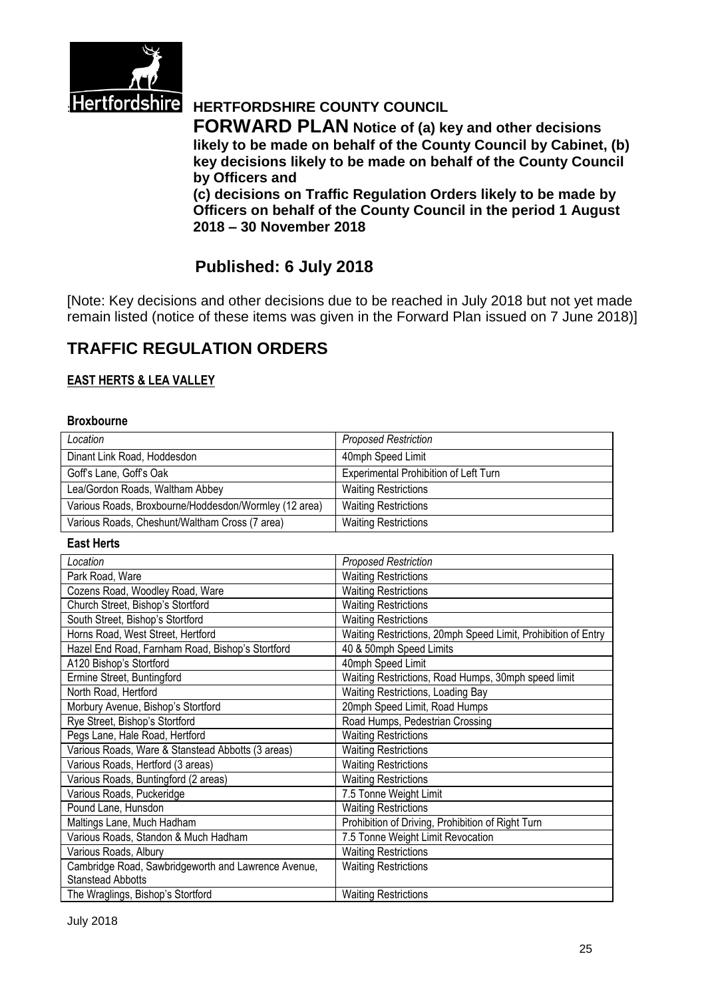

# **Hertfordshire HERTFORDSHIRE COUNTY COUNCIL**

**FORWARD PLAN Notice of (a) key and other decisions likely to be made on behalf of the County Council by Cabinet, (b) key decisions likely to be made on behalf of the County Council by Officers and** 

**(c) decisions on Traffic Regulation Orders likely to be made by Officers on behalf of the County Council in the period 1 August 2018 – 30 November 2018**

# **Published: 6 July 2018**

[Note: Key decisions and other decisions due to be reached in July 2018 but not yet made remain listed (notice of these items was given in the Forward Plan issued on 7 June 2018)]

# **TRAFFIC REGULATION ORDERS**

#### **EAST HERTS & LEA VALLEY**

#### **Broxbourne**

| Location                                              | <b>Proposed Restriction</b>           |
|-------------------------------------------------------|---------------------------------------|
| Dinant Link Road, Hoddesdon                           | 40mph Speed Limit                     |
| Goff's Lane, Goff's Oak                               | Experimental Prohibition of Left Turn |
| Lea/Gordon Roads, Waltham Abbey                       | <b>Waiting Restrictions</b>           |
| Various Roads, Broxbourne/Hoddesdon/Wormley (12 area) | <b>Waiting Restrictions</b>           |
| Various Roads, Cheshunt/Waltham Cross (7 area)        | <b>Waiting Restrictions</b>           |

#### **East Herts**

| Location                                            | <b>Proposed Restriction</b>                                   |
|-----------------------------------------------------|---------------------------------------------------------------|
| Park Road, Ware                                     | <b>Waiting Restrictions</b>                                   |
| Cozens Road, Woodley Road, Ware                     | <b>Waiting Restrictions</b>                                   |
| Church Street, Bishop's Stortford                   | <b>Waiting Restrictions</b>                                   |
| South Street, Bishop's Stortford                    | <b>Waiting Restrictions</b>                                   |
| Horns Road, West Street, Hertford                   | Waiting Restrictions, 20mph Speed Limit, Prohibition of Entry |
| Hazel End Road, Farnham Road, Bishop's Stortford    | 40 & 50mph Speed Limits                                       |
| A120 Bishop's Stortford                             | 40mph Speed Limit                                             |
| Ermine Street, Buntingford                          | Waiting Restrictions, Road Humps, 30mph speed limit           |
| North Road, Hertford                                | Waiting Restrictions, Loading Bay                             |
| Morbury Avenue, Bishop's Stortford                  | 20mph Speed Limit, Road Humps                                 |
| Rye Street, Bishop's Stortford                      | Road Humps, Pedestrian Crossing                               |
| Pegs Lane, Hale Road, Hertford                      | <b>Waiting Restrictions</b>                                   |
| Various Roads, Ware & Stanstead Abbotts (3 areas)   | <b>Waiting Restrictions</b>                                   |
| Various Roads, Hertford (3 areas)                   | <b>Waiting Restrictions</b>                                   |
| Various Roads, Buntingford (2 areas)                | <b>Waiting Restrictions</b>                                   |
| Various Roads, Puckeridge                           | 7.5 Tonne Weight Limit                                        |
| Pound Lane, Hunsdon                                 | <b>Waiting Restrictions</b>                                   |
| Maltings Lane, Much Hadham                          | Prohibition of Driving, Prohibition of Right Turn             |
| Various Roads, Standon & Much Hadham                | 7.5 Tonne Weight Limit Revocation                             |
| Various Roads, Albury                               | <b>Waiting Restrictions</b>                                   |
| Cambridge Road, Sawbridgeworth and Lawrence Avenue, | <b>Waiting Restrictions</b>                                   |
| <b>Stanstead Abbotts</b>                            |                                                               |
| The Wraglings, Bishop's Stortford                   | <b>Waiting Restrictions</b>                                   |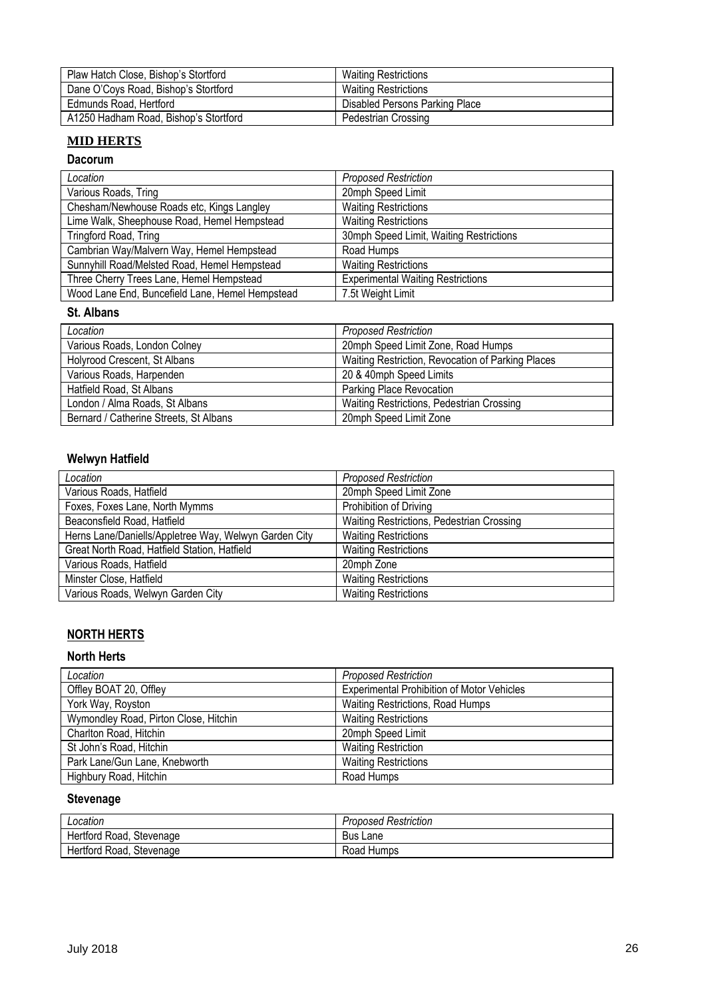| Plaw Hatch Close, Bishop's Stortford  | <b>Waiting Restrictions</b>    |
|---------------------------------------|--------------------------------|
| Dane O'Coys Road, Bishop's Stortford  | <b>Waiting Restrictions</b>    |
| Edmunds Road, Hertford                | Disabled Persons Parking Place |
| A1250 Hadham Road, Bishop's Stortford | <b>Pedestrian Crossing</b>     |

## **MID HERTS**

#### **Dacorum**

| Location                                        | <b>Proposed Restriction</b>              |
|-------------------------------------------------|------------------------------------------|
| Various Roads, Tring                            | 20mph Speed Limit                        |
| Chesham/Newhouse Roads etc, Kings Langley       | <b>Waiting Restrictions</b>              |
| Lime Walk, Sheephouse Road, Hemel Hempstead     | <b>Waiting Restrictions</b>              |
| Tringford Road, Tring                           | 30mph Speed Limit, Waiting Restrictions  |
| Cambrian Way/Malvern Way, Hemel Hempstead       | Road Humps                               |
| Sunnyhill Road/Melsted Road, Hemel Hempstead    | <b>Waiting Restrictions</b>              |
| Three Cherry Trees Lane, Hemel Hempstead        | <b>Experimental Waiting Restrictions</b> |
| Wood Lane End, Buncefield Lane, Hemel Hempstead | 7.5t Weight Limit                        |

#### **St. Albans**

| Location                               | <b>Proposed Restriction</b>                       |
|----------------------------------------|---------------------------------------------------|
| Various Roads, London Colney           | 20mph Speed Limit Zone, Road Humps                |
| Holyrood Crescent, St Albans           | Waiting Restriction, Revocation of Parking Places |
| Various Roads, Harpenden               | 20 & 40mph Speed Limits                           |
| Hatfield Road, St Albans               | Parking Place Revocation                          |
| London / Alma Roads, St Albans         | Waiting Restrictions, Pedestrian Crossing         |
| Bernard / Catherine Streets, St Albans | 20mph Speed Limit Zone                            |

### **Welwyn Hatfield**

| Location                                              | <b>Proposed Restriction</b>               |
|-------------------------------------------------------|-------------------------------------------|
| Various Roads, Hatfield                               | 20mph Speed Limit Zone                    |
| Foxes, Foxes Lane, North Mymms                        | Prohibition of Driving                    |
| Beaconsfield Road, Hatfield                           | Waiting Restrictions, Pedestrian Crossing |
| Herns Lane/Daniells/Appletree Way, Welwyn Garden City | <b>Waiting Restrictions</b>               |
| Great North Road, Hatfield Station, Hatfield          | <b>Waiting Restrictions</b>               |
| Various Roads, Hatfield                               | 20mph Zone                                |
| Minster Close, Hatfield                               | <b>Waiting Restrictions</b>               |
| Various Roads, Welwyn Garden City                     | <b>Waiting Restrictions</b>               |

# **NORTH HERTS**

#### **North Herts**

| Location                              | <b>Proposed Restriction</b>                       |
|---------------------------------------|---------------------------------------------------|
| Offley BOAT 20, Offley                | <b>Experimental Prohibition of Motor Vehicles</b> |
| York Way, Royston                     | Waiting Restrictions, Road Humps                  |
| Wymondley Road, Pirton Close, Hitchin | <b>Waiting Restrictions</b>                       |
| Charlton Road, Hitchin                | 20mph Speed Limit                                 |
| St John's Road, Hitchin               | <b>Waiting Restriction</b>                        |
| Park Lane/Gun Lane, Knebworth         | <b>Waiting Restrictions</b>                       |
| Highbury Road, Hitchin                | Road Humps                                        |

## **Stevenage**

| Location                 | <b>Proposed Restriction</b> |
|--------------------------|-----------------------------|
| Hertford Road, Stevenage | Bus Lane                    |
| Hertford Road, Stevenage | Road Humps                  |